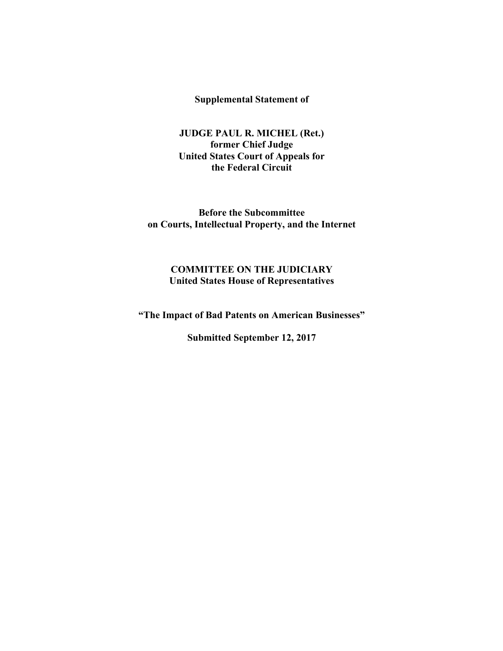**Supplemental Statement of** 

**JUDGE PAUL R. MICHEL (Ret.) former Chief Judge United States Court of Appeals for the Federal Circuit** 

**Before the Subcommittee on Courts, Intellectual Property, and the Internet** 

#### **COMMITTEE ON THE JUDICIARY United States House of Representatives**

**"The Impact of Bad Patents on American Businesses"** 

**Submitted September 12, 2017**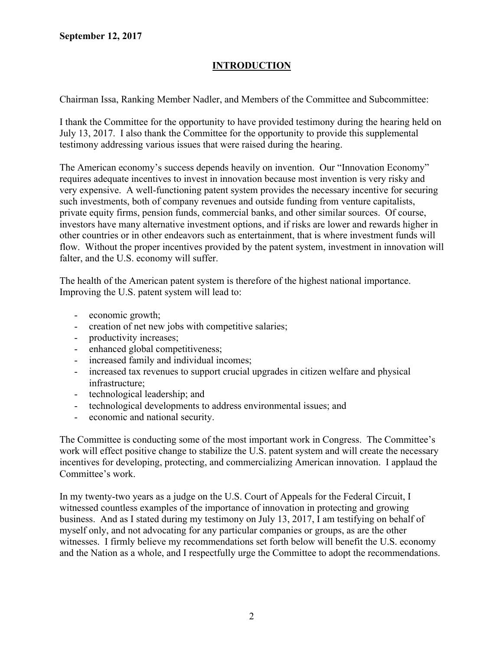# **INTRODUCTION**

Chairman Issa, Ranking Member Nadler, and Members of the Committee and Subcommittee:

I thank the Committee for the opportunity to have provided testimony during the hearing held on July 13, 2017. I also thank the Committee for the opportunity to provide this supplemental testimony addressing various issues that were raised during the hearing.

The American economy's success depends heavily on invention. Our "Innovation Economy" requires adequate incentives to invest in innovation because most invention is very risky and very expensive. A well-functioning patent system provides the necessary incentive for securing such investments, both of company revenues and outside funding from venture capitalists, private equity firms, pension funds, commercial banks, and other similar sources. Of course, investors have many alternative investment options, and if risks are lower and rewards higher in other countries or in other endeavors such as entertainment, that is where investment funds will flow. Without the proper incentives provided by the patent system, investment in innovation will falter, and the U.S. economy will suffer.

The health of the American patent system is therefore of the highest national importance. Improving the U.S. patent system will lead to:

- economic growth;
- creation of net new jobs with competitive salaries;
- productivity increases;
- enhanced global competitiveness;
- increased family and individual incomes;
- increased tax revenues to support crucial upgrades in citizen welfare and physical infrastructure;
- technological leadership; and
- technological developments to address environmental issues; and
- economic and national security.

The Committee is conducting some of the most important work in Congress. The Committee's work will effect positive change to stabilize the U.S. patent system and will create the necessary incentives for developing, protecting, and commercializing American innovation. I applaud the Committee's work.

In my twenty-two years as a judge on the U.S. Court of Appeals for the Federal Circuit, I witnessed countless examples of the importance of innovation in protecting and growing business. And as I stated during my testimony on July 13, 2017, I am testifying on behalf of myself only, and not advocating for any particular companies or groups, as are the other witnesses. I firmly believe my recommendations set forth below will benefit the U.S. economy and the Nation as a whole, and I respectfully urge the Committee to adopt the recommendations.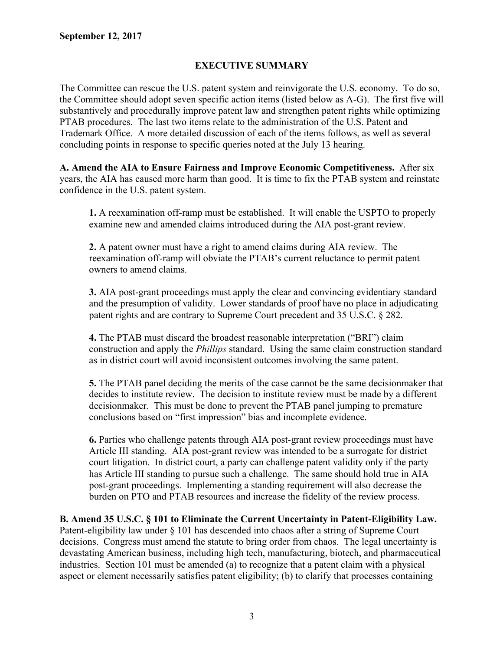### **EXECUTIVE SUMMARY**

The Committee can rescue the U.S. patent system and reinvigorate the U.S. economy. To do so, the Committee should adopt seven specific action items (listed below as A-G). The first five will substantively and procedurally improve patent law and strengthen patent rights while optimizing PTAB procedures. The last two items relate to the administration of the U.S. Patent and Trademark Office. A more detailed discussion of each of the items follows, as well as several concluding points in response to specific queries noted at the July 13 hearing.

**A. Amend the AIA to Ensure Fairness and Improve Economic Competitiveness.** After six years, the AIA has caused more harm than good. It is time to fix the PTAB system and reinstate confidence in the U.S. patent system.

**1.** A reexamination off-ramp must be established. It will enable the USPTO to properly examine new and amended claims introduced during the AIA post-grant review.

**2.** A patent owner must have a right to amend claims during AIA review. The reexamination off-ramp will obviate the PTAB's current reluctance to permit patent owners to amend claims.

**3.** AIA post-grant proceedings must apply the clear and convincing evidentiary standard and the presumption of validity. Lower standards of proof have no place in adjudicating patent rights and are contrary to Supreme Court precedent and 35 U.S.C. § 282.

**4.** The PTAB must discard the broadest reasonable interpretation ("BRI") claim construction and apply the *Phillips* standard. Using the same claim construction standard as in district court will avoid inconsistent outcomes involving the same patent.

**5.** The PTAB panel deciding the merits of the case cannot be the same decisionmaker that decides to institute review. The decision to institute review must be made by a different decisionmaker. This must be done to prevent the PTAB panel jumping to premature conclusions based on "first impression" bias and incomplete evidence.

**6.** Parties who challenge patents through AIA post-grant review proceedings must have Article III standing. AIA post-grant review was intended to be a surrogate for district court litigation. In district court, a party can challenge patent validity only if the party has Article III standing to pursue such a challenge. The same should hold true in AIA post-grant proceedings. Implementing a standing requirement will also decrease the burden on PTO and PTAB resources and increase the fidelity of the review process.

**B. Amend 35 U.S.C. § 101 to Eliminate the Current Uncertainty in Patent-Eligibility Law.** Patent-eligibility law under § 101 has descended into chaos after a string of Supreme Court decisions. Congress must amend the statute to bring order from chaos. The legal uncertainty is devastating American business, including high tech, manufacturing, biotech, and pharmaceutical industries. Section 101 must be amended (a) to recognize that a patent claim with a physical aspect or element necessarily satisfies patent eligibility; (b) to clarify that processes containing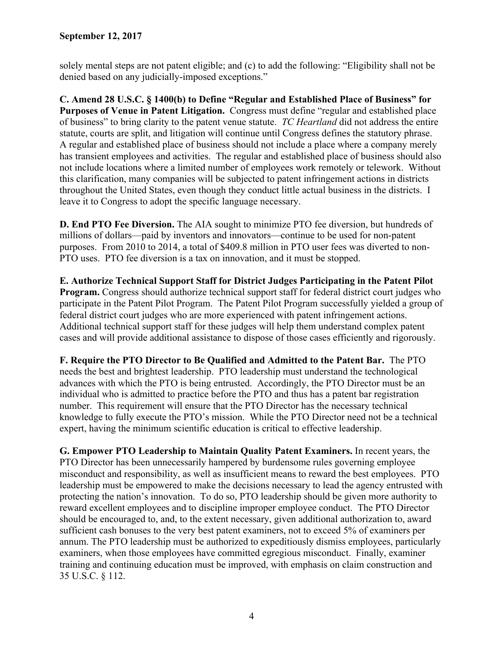solely mental steps are not patent eligible; and (c) to add the following: "Eligibility shall not be denied based on any judicially-imposed exceptions."

**C. Amend 28 U.S.C. § 1400(b) to Define "Regular and Established Place of Business" for Purposes of Venue in Patent Litigation.** Congress must define "regular and established place of business" to bring clarity to the patent venue statute. *TC Heartland* did not address the entire statute, courts are split, and litigation will continue until Congress defines the statutory phrase. A regular and established place of business should not include a place where a company merely has transient employees and activities. The regular and established place of business should also not include locations where a limited number of employees work remotely or telework. Without this clarification, many companies will be subjected to patent infringement actions in districts throughout the United States, even though they conduct little actual business in the districts. I leave it to Congress to adopt the specific language necessary.

**D. End PTO Fee Diversion.** The AIA sought to minimize PTO fee diversion, but hundreds of millions of dollars—paid by inventors and innovators—continue to be used for non-patent purposes. From 2010 to 2014, a total of \$409.8 million in PTO user fees was diverted to non-PTO uses. PTO fee diversion is a tax on innovation, and it must be stopped.

**E. Authorize Technical Support Staff for District Judges Participating in the Patent Pilot Program.** Congress should authorize technical support staff for federal district court judges who participate in the Patent Pilot Program. The Patent Pilot Program successfully yielded a group of federal district court judges who are more experienced with patent infringement actions. Additional technical support staff for these judges will help them understand complex patent cases and will provide additional assistance to dispose of those cases efficiently and rigorously.

**F. Require the PTO Director to Be Qualified and Admitted to the Patent Bar.** The PTO needs the best and brightest leadership. PTO leadership must understand the technological advances with which the PTO is being entrusted. Accordingly, the PTO Director must be an individual who is admitted to practice before the PTO and thus has a patent bar registration number. This requirement will ensure that the PTO Director has the necessary technical knowledge to fully execute the PTO's mission. While the PTO Director need not be a technical expert, having the minimum scientific education is critical to effective leadership.

**G. Empower PTO Leadership to Maintain Quality Patent Examiners.** In recent years, the PTO Director has been unnecessarily hampered by burdensome rules governing employee misconduct and responsibility, as well as insufficient means to reward the best employees. PTO leadership must be empowered to make the decisions necessary to lead the agency entrusted with protecting the nation's innovation. To do so, PTO leadership should be given more authority to reward excellent employees and to discipline improper employee conduct. The PTO Director should be encouraged to, and, to the extent necessary, given additional authorization to, award sufficient cash bonuses to the very best patent examiners, not to exceed 5% of examiners per annum. The PTO leadership must be authorized to expeditiously dismiss employees, particularly examiners, when those employees have committed egregious misconduct. Finally, examiner training and continuing education must be improved, with emphasis on claim construction and 35 U.S.C. § 112.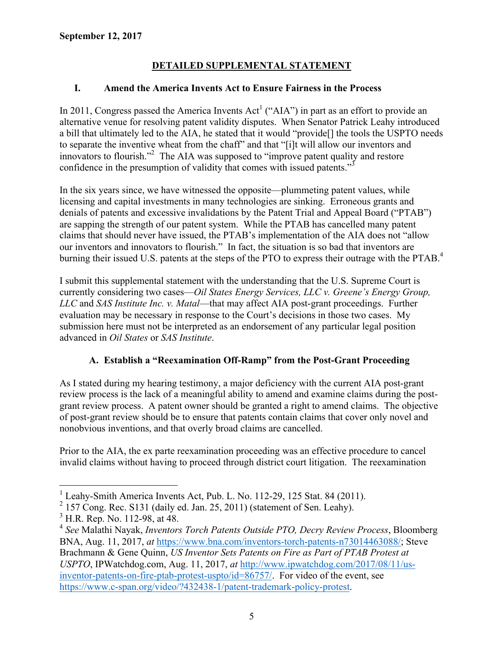# **DETAILED SUPPLEMENTAL STATEMENT**

## **I. Amend the America Invents Act to Ensure Fairness in the Process**

In 2011, Congress passed the America Invents  $Act^1$  ("AIA") in part as an effort to provide an alternative venue for resolving patent validity disputes. When Senator Patrick Leahy introduced a bill that ultimately led to the AIA, he stated that it would "provide[] the tools the USPTO needs to separate the inventive wheat from the chaff" and that "[i]t will allow our inventors and innovators to flourish."<sup>2</sup> The AIA was supposed to "improve patent quality and restore confidence in the presumption of validity that comes with issued patents."<sup>3</sup>

In the six years since, we have witnessed the opposite—plummeting patent values, while licensing and capital investments in many technologies are sinking. Erroneous grants and denials of patents and excessive invalidations by the Patent Trial and Appeal Board ("PTAB") are sapping the strength of our patent system. While the PTAB has cancelled many patent claims that should never have issued, the PTAB's implementation of the AIA does not "allow our inventors and innovators to flourish." In fact, the situation is so bad that inventors are burning their issued U.S. patents at the steps of the PTO to express their outrage with the PTAB.<sup>4</sup>

I submit this supplemental statement with the understanding that the U.S. Supreme Court is currently considering two cases—*Oil States Energy Services, LLC v. Greene's Energy Group, LLC* and *SAS Institute Inc. v. Matal*—that may affect AIA post-grant proceedings. Further evaluation may be necessary in response to the Court's decisions in those two cases. My submission here must not be interpreted as an endorsement of any particular legal position advanced in *Oil States* or *SAS Institute*.

# **A. Establish a "Reexamination Off-Ramp" from the Post-Grant Proceeding**

As I stated during my hearing testimony, a major deficiency with the current AIA post-grant review process is the lack of a meaningful ability to amend and examine claims during the postgrant review process. A patent owner should be granted a right to amend claims. The objective of post-grant review should be to ensure that patents contain claims that cover only novel and nonobvious inventions, and that overly broad claims are cancelled.

Prior to the AIA, the ex parte reexamination proceeding was an effective procedure to cancel invalid claims without having to proceed through district court litigation. The reexamination

<sup>&</sup>lt;sup>1</sup> Leahy-Smith America Invents Act, Pub. L. No. 112-29, 125 Stat. 84 (2011).

 $2$  157 Cong. Rec. S131 (daily ed. Jan. 25, 2011) (statement of Sen. Leahy).

<sup>&</sup>lt;sup>3</sup> H.R. Rep. No. 112-98, at 48.

<sup>4</sup> *See* Malathi Nayak, *Inventors Torch Patents Outside PTO, Decry Review Process*, Bloomberg BNA, Aug. 11, 2017, *at* https://www.bna.com/inventors-torch-patents-n73014463088/; Steve Brachmann & Gene Quinn, *US Inventor Sets Patents on Fire as Part of PTAB Protest at USPTO*, IPWatchdog.com, Aug. 11, 2017, *at* http://www.ipwatchdog.com/2017/08/11/usinventor-patents-on-fire-ptab-protest-uspto/id=86757/. For video of the event, see https://www.c-span.org/video/?432438-1/patent-trademark-policy-protest.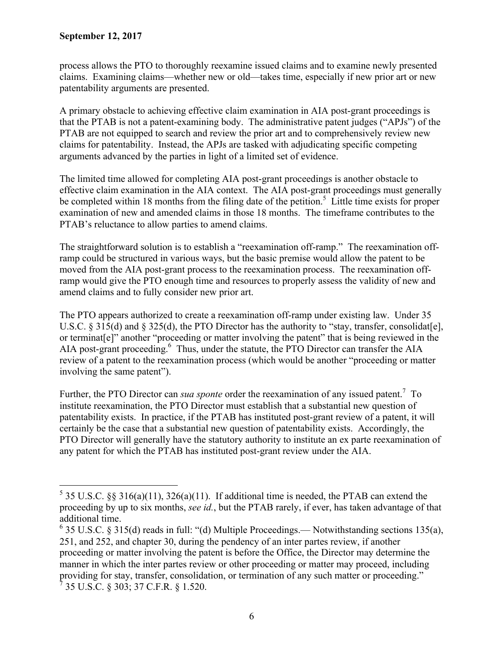$\overline{a}$ 

process allows the PTO to thoroughly reexamine issued claims and to examine newly presented claims. Examining claims—whether new or old—takes time, especially if new prior art or new patentability arguments are presented.

A primary obstacle to achieving effective claim examination in AIA post-grant proceedings is that the PTAB is not a patent-examining body. The administrative patent judges ("APJs") of the PTAB are not equipped to search and review the prior art and to comprehensively review new claims for patentability. Instead, the APJs are tasked with adjudicating specific competing arguments advanced by the parties in light of a limited set of evidence.

The limited time allowed for completing AIA post-grant proceedings is another obstacle to effective claim examination in the AIA context. The AIA post-grant proceedings must generally be completed within 18 months from the filing date of the petition.<sup>5</sup> Little time exists for proper examination of new and amended claims in those 18 months. The timeframe contributes to the PTAB's reluctance to allow parties to amend claims.

The straightforward solution is to establish a "reexamination off-ramp." The reexamination offramp could be structured in various ways, but the basic premise would allow the patent to be moved from the AIA post-grant process to the reexamination process. The reexamination offramp would give the PTO enough time and resources to properly assess the validity of new and amend claims and to fully consider new prior art.

The PTO appears authorized to create a reexamination off-ramp under existing law. Under 35 U.S.C. § 315(d) and § 325(d), the PTO Director has the authority to "stay, transfer, consolidat[e], or terminat[e]" another "proceeding or matter involving the patent" that is being reviewed in the AIA post-grant proceeding.<sup>6</sup> Thus, under the statute, the PTO Director can transfer the AIA review of a patent to the reexamination process (which would be another "proceeding or matter involving the same patent").

Further, the PTO Director can *sua sponte* order the reexamination of any issued patent.<sup>7</sup> To institute reexamination, the PTO Director must establish that a substantial new question of patentability exists. In practice, if the PTAB has instituted post-grant review of a patent, it will certainly be the case that a substantial new question of patentability exists. Accordingly, the PTO Director will generally have the statutory authority to institute an ex parte reexamination of any patent for which the PTAB has instituted post-grant review under the AIA.

<sup>&</sup>lt;sup>5</sup> 35 U.S.C. §§ 316(a)(11), 326(a)(11). If additional time is needed, the PTAB can extend the proceeding by up to six months, *see id.*, but the PTAB rarely, if ever, has taken advantage of that additional time.

 $6$  35 U.S.C. § 315(d) reads in full: "(d) Multiple Proceedings.— Notwithstanding sections 135(a), 251, and 252, and chapter 30, during the pendency of an inter partes review, if another proceeding or matter involving the patent is before the Office, the Director may determine the manner in which the inter partes review or other proceeding or matter may proceed, including providing for stay, transfer, consolidation, or termination of any such matter or proceeding."  $^7$  35 U.S.C. § 303; 37 C.F.R. § 1.520.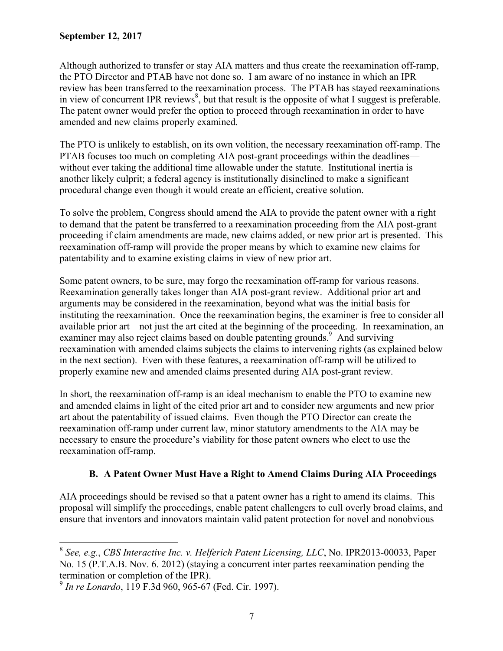Although authorized to transfer or stay AIA matters and thus create the reexamination off-ramp, the PTO Director and PTAB have not done so. I am aware of no instance in which an IPR review has been transferred to the reexamination process. The PTAB has stayed reexaminations in view of concurrent IPR reviews<sup>8</sup>, but that result is the opposite of what I suggest is preferable. The patent owner would prefer the option to proceed through reexamination in order to have amended and new claims properly examined.

The PTO is unlikely to establish, on its own volition, the necessary reexamination off-ramp. The PTAB focuses too much on completing AIA post-grant proceedings within the deadlines without ever taking the additional time allowable under the statute. Institutional inertia is another likely culprit; a federal agency is institutionally disinclined to make a significant procedural change even though it would create an efficient, creative solution.

To solve the problem, Congress should amend the AIA to provide the patent owner with a right to demand that the patent be transferred to a reexamination proceeding from the AIA post-grant proceeding if claim amendments are made, new claims added, or new prior art is presented. This reexamination off-ramp will provide the proper means by which to examine new claims for patentability and to examine existing claims in view of new prior art.

Some patent owners, to be sure, may forgo the reexamination off-ramp for various reasons. Reexamination generally takes longer than AIA post-grant review. Additional prior art and arguments may be considered in the reexamination, beyond what was the initial basis for instituting the reexamination. Once the reexamination begins, the examiner is free to consider all available prior art—not just the art cited at the beginning of the proceeding. In reexamination, an examiner may also reject claims based on double patenting grounds.<sup>9</sup> And surviving reexamination with amended claims subjects the claims to intervening rights (as explained below in the next section). Even with these features, a reexamination off-ramp will be utilized to properly examine new and amended claims presented during AIA post-grant review.

In short, the reexamination off-ramp is an ideal mechanism to enable the PTO to examine new and amended claims in light of the cited prior art and to consider new arguments and new prior art about the patentability of issued claims. Even though the PTO Director can create the reexamination off-ramp under current law, minor statutory amendments to the AIA may be necessary to ensure the procedure's viability for those patent owners who elect to use the reexamination off-ramp.

# **B. A Patent Owner Must Have a Right to Amend Claims During AIA Proceedings**

AIA proceedings should be revised so that a patent owner has a right to amend its claims. This proposal will simplify the proceedings, enable patent challengers to cull overly broad claims, and ensure that inventors and innovators maintain valid patent protection for novel and nonobvious

<sup>8</sup> *See, e.g.*, *CBS Interactive Inc. v. Helferich Patent Licensing, LLC*, No. IPR2013-00033, Paper No. 15 (P.T.A.B. Nov. 6. 2012) (staying a concurrent inter partes reexamination pending the termination or completion of the IPR).

<sup>9</sup> *In re Lonardo*, 119 F.3d 960, 965-67 (Fed. Cir. 1997).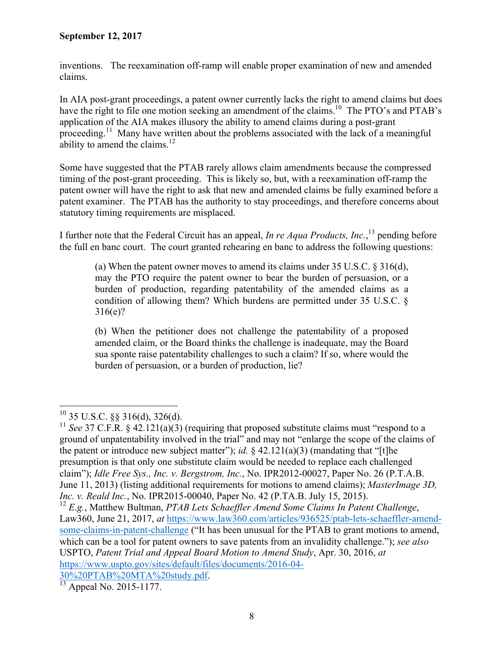inventions. The reexamination off-ramp will enable proper examination of new and amended claims.

In AIA post-grant proceedings, a patent owner currently lacks the right to amend claims but does have the right to file one motion seeking an amendment of the claims.<sup>10</sup> The PTO's and PTAB's application of the AIA makes illusory the ability to amend claims during a post-grant proceeding.<sup>11</sup> Many have written about the problems associated with the lack of a meaningful ability to amend the claims.<sup>12</sup>

Some have suggested that the PTAB rarely allows claim amendments because the compressed timing of the post-grant proceeding. This is likely so, but, with a reexamination off-ramp the patent owner will have the right to ask that new and amended claims be fully examined before a patent examiner. The PTAB has the authority to stay proceedings, and therefore concerns about statutory timing requirements are misplaced.

I further note that the Federal Circuit has an appeal, *In re Aqua Products, Inc.*, 13 pending before the full en banc court. The court granted rehearing en banc to address the following questions:

(a) When the patent owner moves to amend its claims under 35 U.S.C. § 316(d), may the PTO require the patent owner to bear the burden of persuasion, or a burden of production, regarding patentability of the amended claims as a condition of allowing them? Which burdens are permitted under 35 U.S.C. § 316(e)?

(b) When the petitioner does not challenge the patentability of a proposed amended claim, or the Board thinks the challenge is inadequate, may the Board sua sponte raise patentability challenges to such a claim? If so, where would the burden of persuasion, or a burden of production, lie?

30%20PTAB%20MTA%20study.pdf. 13 Appeal No. 2015-1177.

 $\overline{a}$  $^{10}$  35 U.S.C. §§ 316(d), 326(d).

<sup>&</sup>lt;sup>11</sup> *See* 37 C.F.R. § 42.121(a)(3) (requiring that proposed substitute claims must "respond to a ground of unpatentability involved in the trial" and may not "enlarge the scope of the claims of the patent or introduce new subject matter"); *id.*  $\S$  42.121(a)(3) (mandating that "[t]he presumption is that only one substitute claim would be needed to replace each challenged claim"); *Idle Free Sys., Inc. v. Bergstrom, Inc.*, No. IPR2012-00027, Paper No. 26 (P.T.A.B. June 11, 2013) (listing additional requirements for motions to amend claims); *MasterImage 3D, Inc. v. Reald Inc.*, No. IPR2015-00040, Paper No. 42 (P.TA.B. July 15, 2015).

<sup>12</sup> *E.g.*, Matthew Bultman, *PTAB Lets Schaeffler Amend Some Claims In Patent Challenge*, Law360, June 21, 2017, *at* https://www.law360.com/articles/936525/ptab-lets-schaeffler-amendsome-claims-in-patent-challenge ("It has been unusual for the PTAB to grant motions to amend, which can be a tool for patent owners to save patents from an invalidity challenge."); *see also* USPTO, *Patent Trial and Appeal Board Motion to Amend Study*, Apr. 30, 2016, *at* https://www.uspto.gov/sites/default/files/documents/2016-04-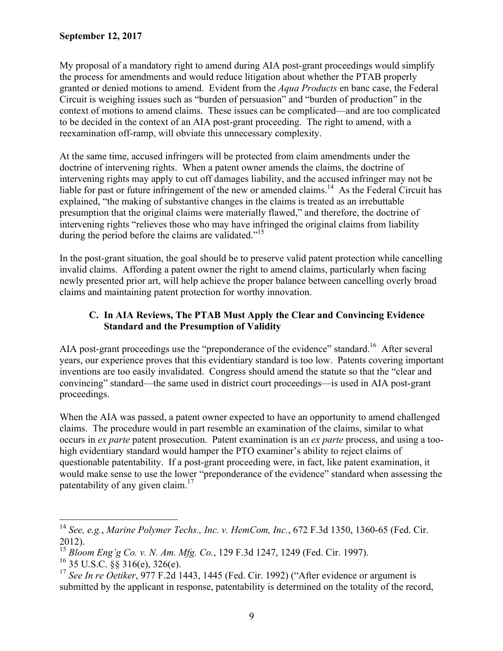My proposal of a mandatory right to amend during AIA post-grant proceedings would simplify the process for amendments and would reduce litigation about whether the PTAB properly granted or denied motions to amend. Evident from the *Aqua Products* en banc case, the Federal Circuit is weighing issues such as "burden of persuasion" and "burden of production" in the context of motions to amend claims. These issues can be complicated—and are too complicated to be decided in the context of an AIA post-grant proceeding. The right to amend, with a reexamination off-ramp, will obviate this unnecessary complexity.

At the same time, accused infringers will be protected from claim amendments under the doctrine of intervening rights. When a patent owner amends the claims, the doctrine of intervening rights may apply to cut off damages liability, and the accused infringer may not be liable for past or future infringement of the new or amended claims.<sup>14</sup> As the Federal Circuit has explained, "the making of substantive changes in the claims is treated as an irrebuttable presumption that the original claims were materially flawed," and therefore, the doctrine of intervening rights "relieves those who may have infringed the original claims from liability during the period before the claims are validated."<sup>15</sup>

In the post-grant situation, the goal should be to preserve valid patent protection while cancelling invalid claims. Affording a patent owner the right to amend claims, particularly when facing newly presented prior art, will help achieve the proper balance between cancelling overly broad claims and maintaining patent protection for worthy innovation.

## **C. In AIA Reviews, The PTAB Must Apply the Clear and Convincing Evidence Standard and the Presumption of Validity**

AIA post-grant proceedings use the "preponderance of the evidence" standard.<sup>16</sup> After several years, our experience proves that this evidentiary standard is too low. Patents covering important inventions are too easily invalidated. Congress should amend the statute so that the "clear and convincing" standard—the same used in district court proceedings—is used in AIA post-grant proceedings.

When the AIA was passed, a patent owner expected to have an opportunity to amend challenged claims. The procedure would in part resemble an examination of the claims, similar to what occurs in *ex parte* patent prosecution. Patent examination is an *ex parte* process, and using a toohigh evidentiary standard would hamper the PTO examiner's ability to reject claims of questionable patentability. If a post-grant proceeding were, in fact, like patent examination, it would make sense to use the lower "preponderance of the evidence" standard when assessing the patentability of any given claim. $17$ 

<sup>14</sup> *See, e.g.*, *Marine Polymer Techs., Inc. v. HemCom, Inc.*, 672 F.3d 1350, 1360-65 (Fed. Cir. 2012).

<sup>15</sup> *Bloom Eng'g Co. v. N. Am. Mfg. Co.*, 129 F.3d 1247, 1249 (Fed. Cir. 1997).

 $^{16}$  35 U.S.C.  $\frac{8}{3}$  316(e), 326(e).

<sup>&</sup>lt;sup>17</sup> See In re Oetiker, 977 F.2d 1443, 1445 (Fed. Cir. 1992) ("After evidence or argument is submitted by the applicant in response, patentability is determined on the totality of the record,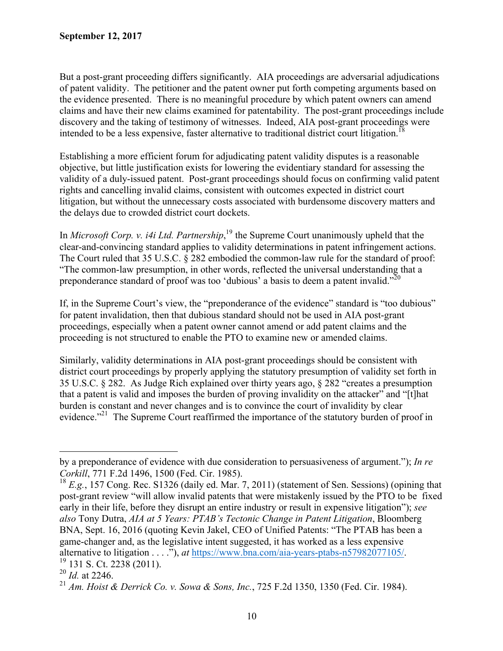But a post-grant proceeding differs significantly. AIA proceedings are adversarial adjudications of patent validity. The petitioner and the patent owner put forth competing arguments based on the evidence presented. There is no meaningful procedure by which patent owners can amend claims and have their new claims examined for patentability. The post-grant proceedings include discovery and the taking of testimony of witnesses. Indeed, AIA post-grant proceedings were intended to be a less expensive, faster alternative to traditional district court litigation.<sup>18</sup>

Establishing a more efficient forum for adjudicating patent validity disputes is a reasonable objective, but little justification exists for lowering the evidentiary standard for assessing the validity of a duly-issued patent. Post-grant proceedings should focus on confirming valid patent rights and cancelling invalid claims, consistent with outcomes expected in district court litigation, but without the unnecessary costs associated with burdensome discovery matters and the delays due to crowded district court dockets.

In *Microsoft Corp. v. i4i Ltd. Partnership*,<sup>19</sup> the Supreme Court unanimously upheld that the clear-and-convincing standard applies to validity determinations in patent infringement actions. The Court ruled that 35 U.S.C. § 282 embodied the common-law rule for the standard of proof: "The common-law presumption, in other words, reflected the universal understanding that a preponderance standard of proof was too 'dubious' a basis to deem a patent invalid."<sup>20</sup>

If, in the Supreme Court's view, the "preponderance of the evidence" standard is "too dubious" for patent invalidation, then that dubious standard should not be used in AIA post-grant proceedings, especially when a patent owner cannot amend or add patent claims and the proceeding is not structured to enable the PTO to examine new or amended claims.

Similarly, validity determinations in AIA post-grant proceedings should be consistent with district court proceedings by properly applying the statutory presumption of validity set forth in 35 U.S.C. § 282. As Judge Rich explained over thirty years ago, § 282 "creates a presumption that a patent is valid and imposes the burden of proving invalidity on the attacker" and "[t]hat burden is constant and never changes and is to convince the court of invalidity by clear evidence."<sup>21</sup> The Supreme Court reaffirmed the importance of the statutory burden of proof in

by a preponderance of evidence with due consideration to persuasiveness of argument."); *In re Corkill*, 771 F.2d 1496, 1500 (Fed. Cir. 1985).

<sup>18</sup> *E.g.*, 157 Cong. Rec. S1326 (daily ed. Mar. 7, 2011) (statement of Sen. Sessions) (opining that post-grant review "will allow invalid patents that were mistakenly issued by the PTO to be fixed early in their life, before they disrupt an entire industry or result in expensive litigation"); *see also* Tony Dutra, *AIA at 5 Years: PTAB's Tectonic Change in Patent Litigation*, Bloomberg BNA, Sept. 16, 2016 (quoting Kevin Jakel, CEO of Unified Patents: "The PTAB has been a game-changer and, as the legislative intent suggested, it has worked as a less expensive alternative to litigation . . . ."), *at* https://www.bna.com/aia-years-ptabs-n57982077105/. 19 131 S. Ct. 2238 (2011).

<sup>20</sup> *Id.* at 2246.

<sup>21</sup> *Am. Hoist & Derrick Co. v. Sowa & Sons, Inc.*, 725 F.2d 1350, 1350 (Fed. Cir. 1984).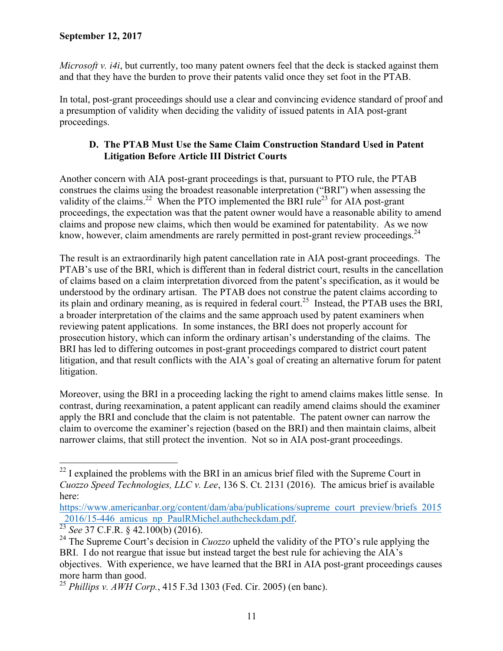*Microsoft v. i4i*, but currently, too many patent owners feel that the deck is stacked against them and that they have the burden to prove their patents valid once they set foot in the PTAB.

In total, post-grant proceedings should use a clear and convincing evidence standard of proof and a presumption of validity when deciding the validity of issued patents in AIA post-grant proceedings.

## **D. The PTAB Must Use the Same Claim Construction Standard Used in Patent Litigation Before Article III District Courts**

Another concern with AIA post-grant proceedings is that, pursuant to PTO rule, the PTAB construes the claims using the broadest reasonable interpretation ("BRI") when assessing the validity of the claims.<sup>22</sup> When the PTO implemented the BRI rule<sup>23</sup> for AIA post-grant proceedings, the expectation was that the patent owner would have a reasonable ability to amend claims and propose new claims, which then would be examined for patentability. As we now know, however, claim amendments are rarely permitted in post-grant review proceedings.<sup>24</sup>

The result is an extraordinarily high patent cancellation rate in AIA post-grant proceedings. The PTAB's use of the BRI, which is different than in federal district court, results in the cancellation of claims based on a claim interpretation divorced from the patent's specification, as it would be understood by the ordinary artisan. The PTAB does not construe the patent claims according to its plain and ordinary meaning, as is required in federal court.<sup>25</sup> Instead, the PTAB uses the BRI, a broader interpretation of the claims and the same approach used by patent examiners when reviewing patent applications. In some instances, the BRI does not properly account for prosecution history, which can inform the ordinary artisan's understanding of the claims. The BRI has led to differing outcomes in post-grant proceedings compared to district court patent litigation, and that result conflicts with the AIA's goal of creating an alternative forum for patent litigation.

Moreover, using the BRI in a proceeding lacking the right to amend claims makes little sense. In contrast, during reexamination, a patent applicant can readily amend claims should the examiner apply the BRI and conclude that the claim is not patentable. The patent owner can narrow the claim to overcome the examiner's rejection (based on the BRI) and then maintain claims, albeit narrower claims, that still protect the invention. Not so in AIA post-grant proceedings.

 $\overline{a}$  $22$  I explained the problems with the BRI in an amicus brief filed with the Supreme Court in *Cuozzo Speed Technologies, LLC v. Lee*, 136 S. Ct. 2131 (2016). The amicus brief is available here:

https://www.americanbar.org/content/dam/aba/publications/supreme court preview/briefs 2015 2016/15-446 amicus np PaulRMichel.authcheckdam.pdf. 23 *See* 37 C.F.R. § 42.100(b) (2016).

<sup>&</sup>lt;sup>24</sup> The Supreme Court's decision in *Cuozzo* upheld the validity of the PTO's rule applying the BRI. I do not reargue that issue but instead target the best rule for achieving the AIA's objectives. With experience, we have learned that the BRI in AIA post-grant proceedings causes more harm than good.

<sup>25</sup> *Phillips v. AWH Corp.*, 415 F.3d 1303 (Fed. Cir. 2005) (en banc).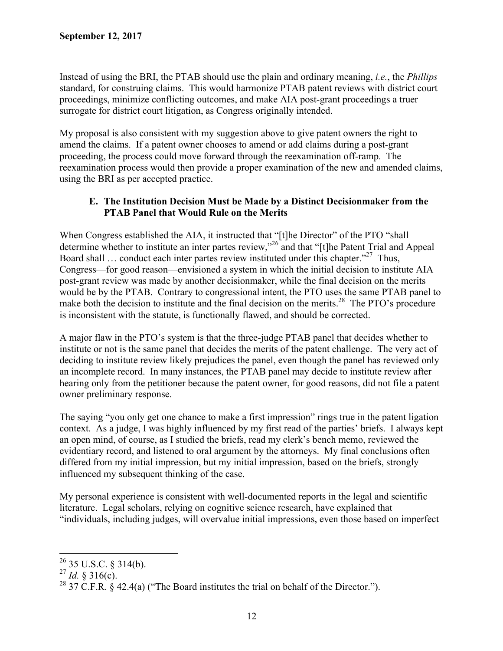Instead of using the BRI, the PTAB should use the plain and ordinary meaning, *i.e.*, the *Phillips* standard, for construing claims. This would harmonize PTAB patent reviews with district court proceedings, minimize conflicting outcomes, and make AIA post-grant proceedings a truer surrogate for district court litigation, as Congress originally intended.

My proposal is also consistent with my suggestion above to give patent owners the right to amend the claims. If a patent owner chooses to amend or add claims during a post-grant proceeding, the process could move forward through the reexamination off-ramp. The reexamination process would then provide a proper examination of the new and amended claims, using the BRI as per accepted practice.

### **E. The Institution Decision Must be Made by a Distinct Decisionmaker from the PTAB Panel that Would Rule on the Merits**

When Congress established the AIA, it instructed that "[t]he Director" of the PTO "shall determine whether to institute an inter partes review,"<sup>26</sup> and that "[t]he Patent Trial and Appeal Board shall  $\ldots$  conduct each inter partes review instituted under this chapter.<sup>327</sup> Thus, Congress—for good reason—envisioned a system in which the initial decision to institute AIA post-grant review was made by another decisionmaker, while the final decision on the merits would be by the PTAB. Contrary to congressional intent, the PTO uses the same PTAB panel to make both the decision to institute and the final decision on the merits.<sup>28</sup> The PTO's procedure is inconsistent with the statute, is functionally flawed, and should be corrected.

A major flaw in the PTO's system is that the three-judge PTAB panel that decides whether to institute or not is the same panel that decides the merits of the patent challenge. The very act of deciding to institute review likely prejudices the panel, even though the panel has reviewed only an incomplete record. In many instances, the PTAB panel may decide to institute review after hearing only from the petitioner because the patent owner, for good reasons, did not file a patent owner preliminary response.

The saying "you only get one chance to make a first impression" rings true in the patent ligation context. As a judge, I was highly influenced by my first read of the parties' briefs. I always kept an open mind, of course, as I studied the briefs, read my clerk's bench memo, reviewed the evidentiary record, and listened to oral argument by the attorneys. My final conclusions often differed from my initial impression, but my initial impression, based on the briefs, strongly influenced my subsequent thinking of the case.

My personal experience is consistent with well-documented reports in the legal and scientific literature. Legal scholars, relying on cognitive science research, have explained that "individuals, including judges, will overvalue initial impressions, even those based on imperfect

 $^{26}$  35 U.S.C. § 314(b).

 $^{27}$  *Id.* § 316(c).

<sup>&</sup>lt;sup>28</sup> 37 C.F.R. § 42.4(a) ("The Board institutes the trial on behalf of the Director.").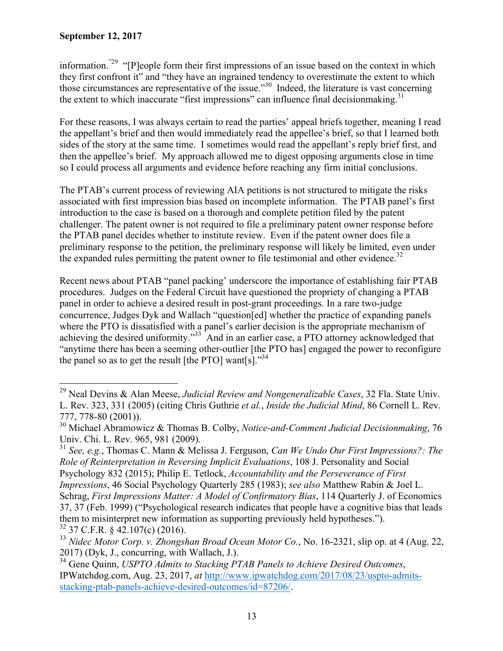$\overline{a}$ 

information."29 "[P]eople form their first impressions of an issue based on the context in which they first confront it" and "they have an ingrained tendency to overestimate the extent to which those circumstances are representative of the issue."30 Indeed, the literature is vast concerning the extent to which inaccurate "first impressions" can influence final decisionmaking. $31$ 

For these reasons, I was always certain to read the parties' appeal briefs together, meaning I read the appellant's brief and then would immediately read the appellee's brief, so that I learned both sides of the story at the same time. I sometimes would read the appellant's reply brief first, and then the appellee's brief. My approach allowed me to digest opposing arguments close in time so I could process all arguments and evidence before reaching any firm initial conclusions.

The PTAB's current process of reviewing AIA petitions is not structured to mitigate the risks associated with first impression bias based on incomplete information. The PTAB panel's first introduction to the case is based on a thorough and complete petition filed by the patent challenger. The patent owner is not required to file a preliminary patent owner response before the PTAB panel decides whether to institute review. Even if the patent owner does file a preliminary response to the petition, the preliminary response will likely be limited, even under the expanded rules permitting the patent owner to file testimonial and other evidence.<sup>32</sup>

Recent news about PTAB "panel packing' underscore the importance of establishing fair PTAB procedures. Judges on the Federal Circuit have questioned the propriety of changing a PTAB panel in order to achieve a desired result in post-grant proceedings. In a rare two-judge concurrence, Judges Dyk and Wallach "question[ed] whether the practice of expanding panels where the PTO is dissatisfied with a panel's earlier decision is the appropriate mechanism of achieving the desired uniformity."<sup>33</sup> And in an earlier case, a PTO attorney acknowledged that "anytime there has been a seeming other-outlier [the PTO has] engaged the power to reconfigure the panel so as to get the result [the PTO] want[s]."<sup>34</sup>

<sup>29</sup> Neal Devins & Alan Meese, *Judicial Review and Nongeneralizable Cases*, 32 Fla. State Univ. L. Rev. 323, 331 (2005) (citing Chris Guthrie *et al.*, *Inside the Judicial Mind*, 86 Cornell L. Rev. 777, 778-80 (2001)).

<sup>30</sup> Michael Abramowicz & Thomas B. Colby, *Notice-and-Comment Judicial Decisionmaking*, 76 Univ. Chi. L. Rev. 965, 981 (2009).

<sup>31</sup> *See, e.g.*, Thomas C. Mann & Melissa J. Ferguson, *Can We Undo Our First Impressions?: The Role of Reinterpretation in Reversing Implicit Evaluations*, 108 J. Personality and Social Psychology 832 (2015); Philip E. Tetlock, *Accountability and the Perseverance of First Impressions*, 46 Social Psychology Quarterly 285 (1983); *see also* Matthew Rabin & Joel L. Schrag, *First Impressions Matter: A Model of Confirmatory Bias*, 114 Quarterly J. of Economics 37, 37 (Feb. 1999) ("Psychological research indicates that people have a cognitive bias that leads them to misinterpret new information as supporting previously held hypotheses.").  $32$  37 C.F.R. § 42.107(c) (2016).

<sup>33</sup> *Nidec Motor Corp. v. Zhongshan Broad Ocean Motor Co.*, No. 16-2321, slip op. at 4 (Aug. 22, 2017) (Dyk, J., concurring, with Wallach, J.).

<sup>34</sup> Gene Quinn, *USPTO Admits to Stacking PTAB Panels to Achieve Desired Outcomes*, IPWatchdog.com, Aug. 23, 2017, *at* http://www.ipwatchdog.com/2017/08/23/uspto-admitsstacking-ptab-panels-achieve-desired-outcomes/id=87206/.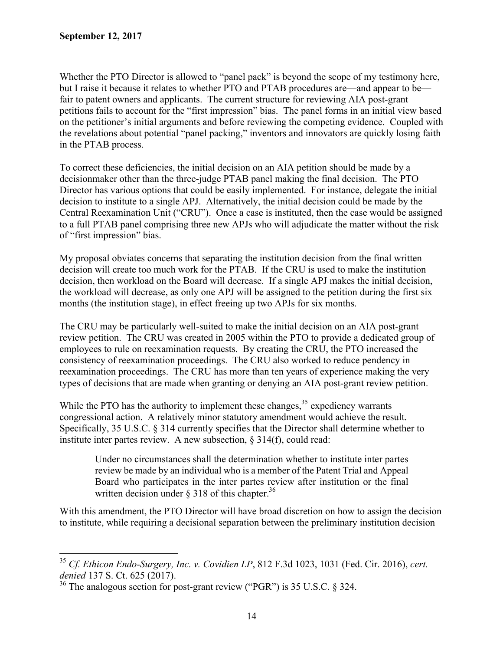$\overline{a}$ 

Whether the PTO Director is allowed to "panel pack" is beyond the scope of my testimony here, but I raise it because it relates to whether PTO and PTAB procedures are—and appear to be fair to patent owners and applicants. The current structure for reviewing AIA post-grant petitions fails to account for the "first impression" bias. The panel forms in an initial view based on the petitioner's initial arguments and before reviewing the competing evidence. Coupled with the revelations about potential "panel packing," inventors and innovators are quickly losing faith in the PTAB process.

To correct these deficiencies, the initial decision on an AIA petition should be made by a decisionmaker other than the three-judge PTAB panel making the final decision. The PTO Director has various options that could be easily implemented. For instance, delegate the initial decision to institute to a single APJ. Alternatively, the initial decision could be made by the Central Reexamination Unit ("CRU"). Once a case is instituted, then the case would be assigned to a full PTAB panel comprising three new APJs who will adjudicate the matter without the risk of "first impression" bias.

My proposal obviates concerns that separating the institution decision from the final written decision will create too much work for the PTAB. If the CRU is used to make the institution decision, then workload on the Board will decrease. If a single APJ makes the initial decision, the workload will decrease, as only one APJ will be assigned to the petition during the first six months (the institution stage), in effect freeing up two APJs for six months.

The CRU may be particularly well-suited to make the initial decision on an AIA post-grant review petition. The CRU was created in 2005 within the PTO to provide a dedicated group of employees to rule on reexamination requests. By creating the CRU, the PTO increased the consistency of reexamination proceedings. The CRU also worked to reduce pendency in reexamination proceedings. The CRU has more than ten years of experience making the very types of decisions that are made when granting or denying an AIA post-grant review petition.

While the PTO has the authority to implement these changes,  $3<sup>5</sup>$  expediency warrants congressional action. A relatively minor statutory amendment would achieve the result. Specifically, 35 U.S.C. § 314 currently specifies that the Director shall determine whether to institute inter partes review. A new subsection, § 314(f), could read:

Under no circumstances shall the determination whether to institute inter partes review be made by an individual who is a member of the Patent Trial and Appeal Board who participates in the inter partes review after institution or the final written decision under  $\S 318$  of this chapter.<sup>36</sup>

With this amendment, the PTO Director will have broad discretion on how to assign the decision to institute, while requiring a decisional separation between the preliminary institution decision

<sup>35</sup> *Cf. Ethicon Endo-Surgery, Inc. v. Covidien LP*, 812 F.3d 1023, 1031 (Fed. Cir. 2016), *cert. denied* 137 S. Ct. 625 (2017).

<sup>&</sup>lt;sup>36</sup> The analogous section for post-grant review ("PGR") is 35 U.S.C. § 324.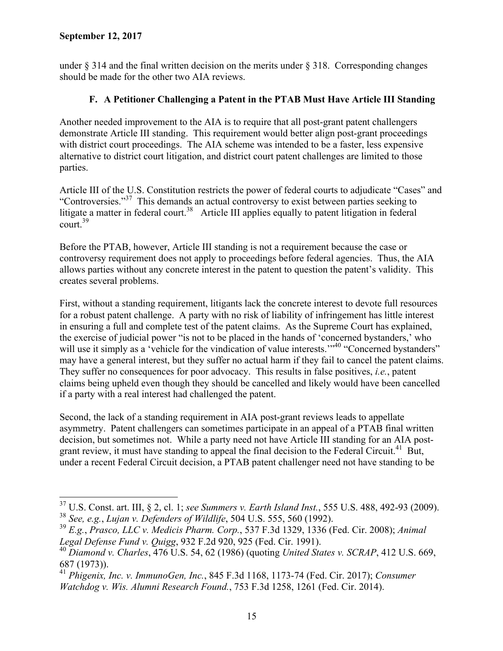$\overline{a}$ 

under  $\S 314$  and the final written decision on the merits under  $\S 318$ . Corresponding changes should be made for the other two AIA reviews.

# **F. A Petitioner Challenging a Patent in the PTAB Must Have Article III Standing**

Another needed improvement to the AIA is to require that all post-grant patent challengers demonstrate Article III standing. This requirement would better align post-grant proceedings with district court proceedings. The AIA scheme was intended to be a faster, less expensive alternative to district court litigation, and district court patent challenges are limited to those parties.

Article III of the U.S. Constitution restricts the power of federal courts to adjudicate "Cases" and "Controversies."37 This demands an actual controversy to exist between parties seeking to litigate a matter in federal court.<sup>38</sup> Article III applies equally to patent litigation in federal court.39

Before the PTAB, however, Article III standing is not a requirement because the case or controversy requirement does not apply to proceedings before federal agencies. Thus, the AIA allows parties without any concrete interest in the patent to question the patent's validity. This creates several problems.

First, without a standing requirement, litigants lack the concrete interest to devote full resources for a robust patent challenge. A party with no risk of liability of infringement has little interest in ensuring a full and complete test of the patent claims. As the Supreme Court has explained, the exercise of judicial power "is not to be placed in the hands of 'concerned bystanders,' who will use it simply as a 'vehicle for the vindication of value interests."<sup>40</sup> "Concerned bystanders" may have a general interest, but they suffer no actual harm if they fail to cancel the patent claims. They suffer no consequences for poor advocacy. This results in false positives, *i.e.*, patent claims being upheld even though they should be cancelled and likely would have been cancelled if a party with a real interest had challenged the patent.

Second, the lack of a standing requirement in AIA post-grant reviews leads to appellate asymmetry. Patent challengers can sometimes participate in an appeal of a PTAB final written decision, but sometimes not. While a party need not have Article III standing for an AIA postgrant review, it must have standing to appeal the final decision to the Federal Circuit.<sup>41</sup> But, under a recent Federal Circuit decision, a PTAB patent challenger need not have standing to be

<sup>37</sup> U.S. Const. art. III, § 2, cl. 1; *see Summers v. Earth Island Inst.*, 555 U.S. 488, 492-93 (2009). <sup>38</sup> *See, e.g.*, *Lujan v. Defenders of Wildlife*, 504 U.S. 555, 560 (1992).

<sup>39</sup> *E.g.*, *Prasco, LLC v. Medicis Pharm. Corp.*, 537 F.3d 1329, 1336 (Fed. Cir. 2008); *Animal Legal Defense Fund v. Quigg*, 932 F.2d 920, 925 (Fed. Cir. 1991).

<sup>40</sup> *Diamond v. Charles*, 476 U.S. 54, 62 (1986) (quoting *United States v. SCRAP*, 412 U.S. 669, 687 (1973)).

<sup>41</sup> *Phigenix, Inc. v. ImmunoGen, Inc.*, 845 F.3d 1168, 1173-74 (Fed. Cir. 2017); *Consumer Watchdog v. Wis. Alumni Research Found.*, 753 F.3d 1258, 1261 (Fed. Cir. 2014).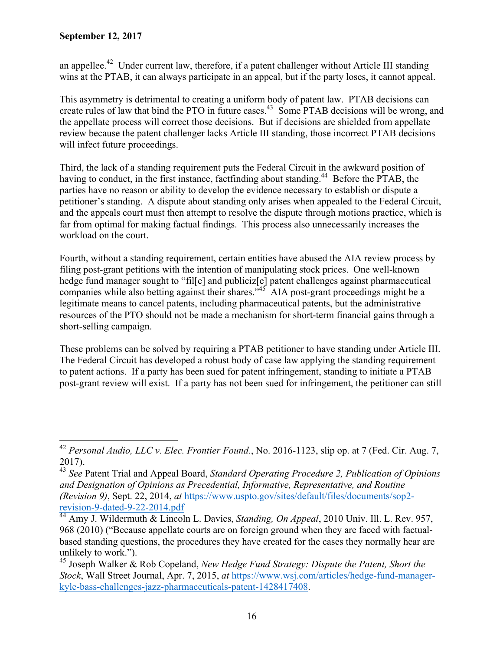an appellee.<sup>42</sup> Under current law, therefore, if a patent challenger without Article III standing wins at the PTAB, it can always participate in an appeal, but if the party loses, it cannot appeal.

This asymmetry is detrimental to creating a uniform body of patent law. PTAB decisions can create rules of law that bind the PTO in future cases.<sup>43</sup> Some PTAB decisions will be wrong, and the appellate process will correct those decisions. But if decisions are shielded from appellate review because the patent challenger lacks Article III standing, those incorrect PTAB decisions will infect future proceedings.

Third, the lack of a standing requirement puts the Federal Circuit in the awkward position of having to conduct, in the first instance, factfinding about standing.<sup>44</sup> Before the PTAB, the parties have no reason or ability to develop the evidence necessary to establish or dispute a petitioner's standing. A dispute about standing only arises when appealed to the Federal Circuit, and the appeals court must then attempt to resolve the dispute through motions practice, which is far from optimal for making factual findings. This process also unnecessarily increases the workload on the court.

Fourth, without a standing requirement, certain entities have abused the AIA review process by filing post-grant petitions with the intention of manipulating stock prices. One well-known hedge fund manager sought to "fille] and publicize [e] patent challenges against pharmaceutical companies while also betting against their shares.<sup> $545$ </sup> AIA post-grant proceedings might be a legitimate means to cancel patents, including pharmaceutical patents, but the administrative resources of the PTO should not be made a mechanism for short-term financial gains through a short-selling campaign.

These problems can be solved by requiring a PTAB petitioner to have standing under Article III. The Federal Circuit has developed a robust body of case law applying the standing requirement to patent actions. If a party has been sued for patent infringement, standing to initiate a PTAB post-grant review will exist. If a party has not been sued for infringement, the petitioner can still

 $\overline{a}$ <sup>42</sup> *Personal Audio, LLC v. Elec. Frontier Found.*, No. 2016-1123, slip op. at 7 (Fed. Cir. Aug. 7, 2017).

<sup>43</sup> *See* Patent Trial and Appeal Board, *Standard Operating Procedure 2, Publication of Opinions and Designation of Opinions as Precedential, Informative, Representative, and Routine (Revision 9)*, Sept. 22, 2014, *at* https://www.uspto.gov/sites/default/files/documents/sop2-

revision-9-dated-9-22-2014.pdf 44 Amy J. Wildermuth & Lincoln L. Davies, *Standing, On Appeal*, 2010 Univ. Ill. L. Rev. 957, 968 (2010) ("Because appellate courts are on foreign ground when they are faced with factualbased standing questions, the procedures they have created for the cases they normally hear are unlikely to work.").

<sup>45</sup> Joseph Walker & Rob Copeland, *New Hedge Fund Strategy: Dispute the Patent, Short the Stock*, Wall Street Journal, Apr. 7, 2015, *at* https://www.wsj.com/articles/hedge-fund-managerkyle-bass-challenges-jazz-pharmaceuticals-patent-1428417408.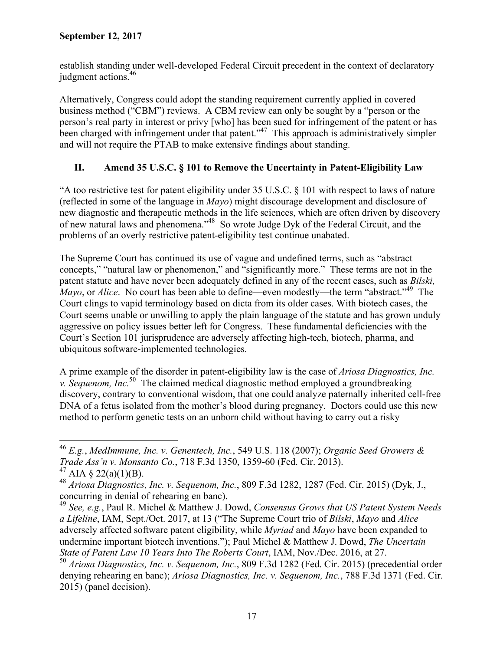establish standing under well-developed Federal Circuit precedent in the context of declaratory judgment actions.<sup>46</sup>

Alternatively, Congress could adopt the standing requirement currently applied in covered business method ("CBM") reviews. A CBM review can only be sought by a "person or the person's real party in interest or privy [who] has been sued for infringement of the patent or has been charged with infringement under that patent."<sup>47</sup> This approach is administratively simpler and will not require the PTAB to make extensive findings about standing.

# **II. Amend 35 U.S.C. § 101 to Remove the Uncertainty in Patent-Eligibility Law**

"A too restrictive test for patent eligibility under 35 U.S.C. § 101 with respect to laws of nature (reflected in some of the language in *Mayo*) might discourage development and disclosure of new diagnostic and therapeutic methods in the life sciences, which are often driven by discovery of new natural laws and phenomena."48 So wrote Judge Dyk of the Federal Circuit, and the problems of an overly restrictive patent-eligibility test continue unabated.

The Supreme Court has continued its use of vague and undefined terms, such as "abstract concepts," "natural law or phenomenon," and "significantly more." These terms are not in the patent statute and have never been adequately defined in any of the recent cases, such as *Bilski, Mayo*, or *Alice*. No court has been able to define—even modestly—the term "abstract."<sup>49</sup> The Court clings to vapid terminology based on dicta from its older cases. With biotech cases, the Court seems unable or unwilling to apply the plain language of the statute and has grown unduly aggressive on policy issues better left for Congress. These fundamental deficiencies with the Court's Section 101 jurisprudence are adversely affecting high-tech, biotech, pharma, and ubiquitous software-implemented technologies.

A prime example of the disorder in patent-eligibility law is the case of *Ariosa Diagnostics, Inc. v. Sequenom, Inc.*<sup>50</sup> The claimed medical diagnostic method employed a groundbreaking discovery, contrary to conventional wisdom, that one could analyze paternally inherited cell-free DNA of a fetus isolated from the mother's blood during pregnancy. Doctors could use this new method to perform genetic tests on an unborn child without having to carry out a risky

<sup>46</sup> *E.g.*, *MedImmune, Inc. v. Genentech, Inc.*, 549 U.S. 118 (2007); *Organic Seed Growers & Trade Ass'n v. Monsanto Co.*, 718 F.3d 1350, 1359-60 (Fed. Cir. 2013).

<sup>&</sup>lt;sup>47</sup> AIA § 22(a)(1)(B).

<sup>48</sup> *Ariosa Diagnostics, Inc. v. Sequenom, Inc.*, 809 F.3d 1282, 1287 (Fed. Cir. 2015) (Dyk, J., concurring in denial of rehearing en banc).

<sup>49</sup> *See, e.g.*, Paul R. Michel & Matthew J. Dowd, *Consensus Grows that US Patent System Needs a Lifeline*, IAM, Sept./Oct. 2017, at 13 ("The Supreme Court trio of *Bilski*, *Mayo* and *Alice* adversely affected software patent eligibility, while *Myriad* and *Mayo* have been expanded to undermine important biotech inventions."); Paul Michel & Matthew J. Dowd, *The Uncertain State of Patent Law 10 Years Into The Roberts Court*, IAM, Nov./Dec. 2016, at 27.

<sup>50</sup> *Ariosa Diagnostics, Inc. v. Sequenom, Inc.*, 809 F.3d 1282 (Fed. Cir. 2015) (precedential order denying rehearing en banc); *Ariosa Diagnostics, Inc. v. Sequenom, Inc.*, 788 F.3d 1371 (Fed. Cir. 2015) (panel decision).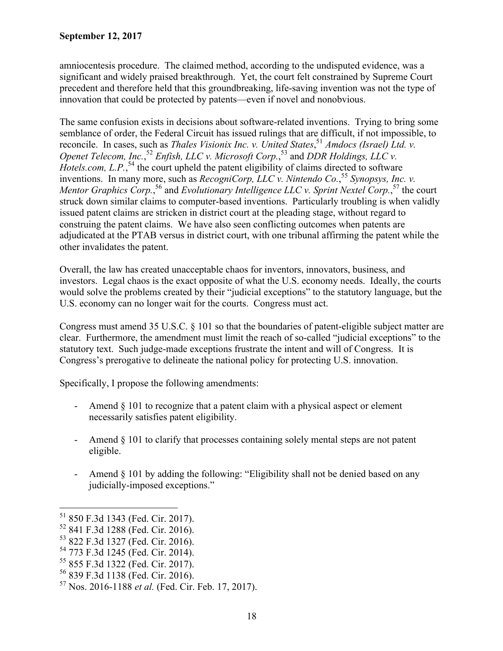amniocentesis procedure. The claimed method, according to the undisputed evidence, was a significant and widely praised breakthrough. Yet, the court felt constrained by Supreme Court precedent and therefore held that this groundbreaking, life-saving invention was not the type of innovation that could be protected by patents—even if novel and nonobvious.

The same confusion exists in decisions about software-related inventions. Trying to bring some semblance of order, the Federal Circuit has issued rulings that are difficult, if not impossible, to reconcile. In cases, such as *Thales Visionix Inc. v. United States*,<sup>51</sup> *Amdocs (Israel) Ltd. v. Openet Telecom, Inc.*<sup>52</sup> *Enfish, LLC v. Microsoft Corp.*<sup>53</sup> and *DDR Holdings, LLC v.* Hotels.com, L.P.,<sup>54</sup> the court upheld the patent eligibility of claims directed to software inventions. In many more, such as *RecogniCorp, LLC v. Nintendo Co.*, <sup>55</sup> *Synopsys, Inc. v.*  Mentor Graphics Corp.,<sup>56</sup> and *Evolutionary Intelligence LLC v. Sprint Nextel Corp.*,<sup>57</sup> the court struck down similar claims to computer-based inventions. Particularly troubling is when validly issued patent claims are stricken in district court at the pleading stage, without regard to construing the patent claims. We have also seen conflicting outcomes when patents are adjudicated at the PTAB versus in district court, with one tribunal affirming the patent while the other invalidates the patent.

Overall, the law has created unacceptable chaos for inventors, innovators, business, and investors. Legal chaos is the exact opposite of what the U.S. economy needs. Ideally, the courts would solve the problems created by their "judicial exceptions" to the statutory language, but the U.S. economy can no longer wait for the courts. Congress must act.

Congress must amend 35 U.S.C. § 101 so that the boundaries of patent-eligible subject matter are clear. Furthermore, the amendment must limit the reach of so-called "judicial exceptions" to the statutory text. Such judge-made exceptions frustrate the intent and will of Congress. It is Congress's prerogative to delineate the national policy for protecting U.S. innovation.

Specifically, I propose the following amendments:

- Amend § 101 to recognize that a patent claim with a physical aspect or element necessarily satisfies patent eligibility.
- Amend § 101 to clarify that processes containing solely mental steps are not patent eligible.
- Amend § 101 by adding the following: "Eligibility shall not be denied based on any judicially-imposed exceptions."

<sup>51 850</sup> F.3d 1343 (Fed. Cir. 2017).

<sup>52 841</sup> F.3d 1288 (Fed. Cir. 2016).

<sup>53 822</sup> F.3d 1327 (Fed. Cir. 2016).

<sup>54 773</sup> F.3d 1245 (Fed. Cir. 2014).

<sup>55 855</sup> F.3d 1322 (Fed. Cir. 2017).

<sup>56 839</sup> F.3d 1138 (Fed. Cir. 2016).

<sup>57</sup> Nos. 2016-1188 *et al.* (Fed. Cir. Feb. 17, 2017).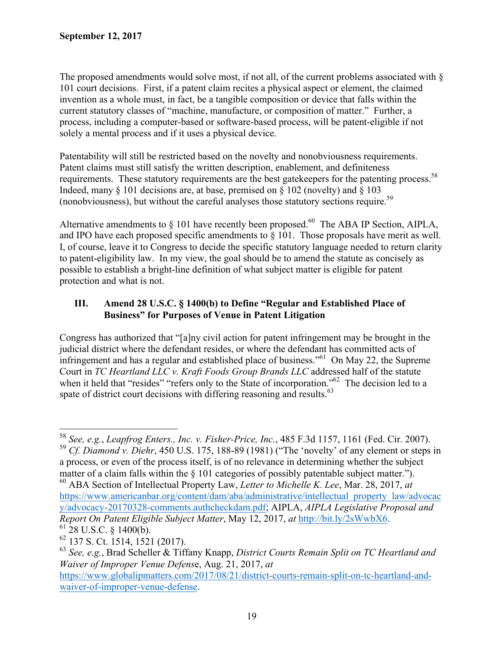The proposed amendments would solve most, if not all, of the current problems associated with § 101 court decisions. First, if a patent claim recites a physical aspect or element, the claimed invention as a whole must, in fact, be a tangible composition or device that falls within the current statutory classes of "machine, manufacture, or composition of matter." Further, a process, including a computer-based or software-based process, will be patent-eligible if not solely a mental process and if it uses a physical device.

Patentability will still be restricted based on the novelty and nonobviousness requirements. Patent claims must still satisfy the written description, enablement, and definiteness requirements. These statutory requirements are the best gatekeepers for the patenting process.<sup>58</sup> Indeed, many  $\S$  101 decisions are, at base, premised on  $\S$  102 (novelty) and  $\S$  103 (nonobviousness), but without the careful analyses those statutory sections require.59

Alternative amendments to  $\S$  101 have recently been proposed.<sup>60</sup> The ABA IP Section, AIPLA, and IPO have each proposed specific amendments to § 101. Those proposals have merit as well. I, of course, leave it to Congress to decide the specific statutory language needed to return clarity to patent-eligibility law. In my view, the goal should be to amend the statute as concisely as possible to establish a bright-line definition of what subject matter is eligible for patent protection and what is not.

### **III. Amend 28 U.S.C. § 1400(b) to Define "Regular and Established Place of Business" for Purposes of Venue in Patent Litigation**

Congress has authorized that "[a]ny civil action for patent infringement may be brought in the judicial district where the defendant resides, or where the defendant has committed acts of infringement and has a regular and established place of business.<sup> $561$ </sup> On May 22, the Supreme Court in *TC Heartland LLC v. Kraft Foods Group Brands LLC* addressed half of the statute when it held that "resides" "refers only to the State of incorporation."<sup>62</sup> The decision led to a spate of district court decisions with differing reasoning and results.<sup>63</sup>

<sup>58</sup> *See, e.g.*, *Leapfrog Enters., Inc. v. Fisher-Price, Inc.*, 485 F.3d 1157, 1161 (Fed. Cir. 2007). <sup>59</sup> *Cf. Diamond v. Diehr*, 450 U.S. 175, 188-89 (1981) ("The 'novelty' of any element or steps in a process, or even of the process itself, is of no relevance in determining whether the subject matter of a claim falls within the § 101 categories of possibly patentable subject matter."). 60 ABA Section of Intellectual Property Law, *Letter to Michelle K. Lee*, Mar. 28, 2017, *at* https://www.americanbar.org/content/dam/aba/administrative/intellectual property law/advocac y/advocacy-20170328-comments.authcheckdam.pdf; AIPLA, *AIPLA Legislative Proposal and Report On Patent Eligible Subject Matter*, May 12, 2017, *at* http://bit.ly/2sWwbX6. 61 28 U.S.C. § 1400(b).

<sup>62 137</sup> S. Ct. 1514, 1521 (2017).

<sup>63</sup> *See, e.g.*, Brad Scheller & Tiffany Knapp, *District Courts Remain Split on TC Heartland and Waiver of Improper Venue Defens*e, Aug. 21, 2017, *at*

https://www.globalipmatters.com/2017/08/21/district-courts-remain-split-on-tc-heartland-andwaiver-of-improper-venue-defense.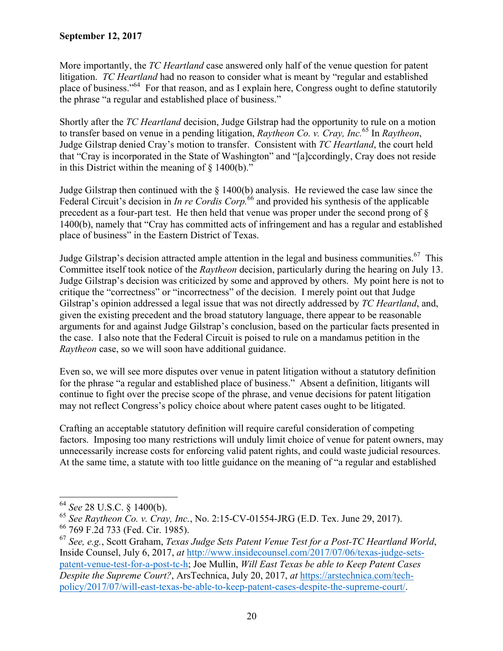More importantly, the *TC Heartland* case answered only half of the venue question for patent litigation. *TC Heartland* had no reason to consider what is meant by "regular and established place of business."64 For that reason, and as I explain here, Congress ought to define statutorily the phrase "a regular and established place of business."

Shortly after the *TC Heartland* decision, Judge Gilstrap had the opportunity to rule on a motion to transfer based on venue in a pending litigation, *Raytheon Co. v. Cray, Inc.*<sup>65</sup> In *Raytheon*, Judge Gilstrap denied Cray's motion to transfer. Consistent with *TC Heartland*, the court held that "Cray is incorporated in the State of Washington" and "[a]ccordingly, Cray does not reside in this District within the meaning of  $\S$  1400(b)."

Judge Gilstrap then continued with the § 1400(b) analysis. He reviewed the case law since the Federal Circuit's decision in *In re Cordis Corp.*<sup>66</sup> and provided his synthesis of the applicable precedent as a four-part test. He then held that venue was proper under the second prong of § 1400(b), namely that "Cray has committed acts of infringement and has a regular and established place of business" in the Eastern District of Texas.

Judge Gilstrap's decision attracted ample attention in the legal and business communities.<sup>67</sup> This Committee itself took notice of the *Raytheon* decision, particularly during the hearing on July 13. Judge Gilstrap's decision was criticized by some and approved by others. My point here is not to critique the "correctness" or "incorrectness" of the decision. I merely point out that Judge Gilstrap's opinion addressed a legal issue that was not directly addressed by *TC Heartland*, and, given the existing precedent and the broad statutory language, there appear to be reasonable arguments for and against Judge Gilstrap's conclusion, based on the particular facts presented in the case. I also note that the Federal Circuit is poised to rule on a mandamus petition in the *Raytheon* case, so we will soon have additional guidance.

Even so, we will see more disputes over venue in patent litigation without a statutory definition for the phrase "a regular and established place of business." Absent a definition, litigants will continue to fight over the precise scope of the phrase, and venue decisions for patent litigation may not reflect Congress's policy choice about where patent cases ought to be litigated.

Crafting an acceptable statutory definition will require careful consideration of competing factors. Imposing too many restrictions will unduly limit choice of venue for patent owners, may unnecessarily increase costs for enforcing valid patent rights, and could waste judicial resources. At the same time, a statute with too little guidance on the meaning of "a regular and established

<sup>64</sup> *See* 28 U.S.C. § 1400(b).

<sup>65</sup> *See Raytheon Co. v. Cray, Inc.*, No. 2:15-CV-01554-JRG (E.D. Tex. June 29, 2017).

<sup>66 769</sup> F.2d 733 (Fed. Cir. 1985).

<sup>67</sup> *See, e.g.*, Scott Graham, *Texas Judge Sets Patent Venue Test for a Post-TC Heartland World*, Inside Counsel, July 6, 2017, *at* http://www.insidecounsel.com/2017/07/06/texas-judge-setspatent-venue-test-for-a-post-tc-h; Joe Mullin, *Will East Texas be able to Keep Patent Cases Despite the Supreme Court?*, ArsTechnica, July 20, 2017, *at* https://arstechnica.com/techpolicy/2017/07/will-east-texas-be-able-to-keep-patent-cases-despite-the-supreme-court/.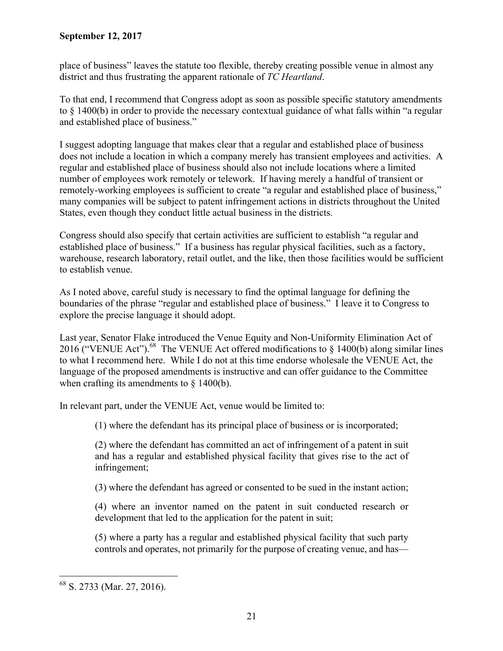place of business" leaves the statute too flexible, thereby creating possible venue in almost any district and thus frustrating the apparent rationale of *TC Heartland*.

To that end, I recommend that Congress adopt as soon as possible specific statutory amendments to § 1400(b) in order to provide the necessary contextual guidance of what falls within "a regular and established place of business."

I suggest adopting language that makes clear that a regular and established place of business does not include a location in which a company merely has transient employees and activities. A regular and established place of business should also not include locations where a limited number of employees work remotely or telework. If having merely a handful of transient or remotely-working employees is sufficient to create "a regular and established place of business," many companies will be subject to patent infringement actions in districts throughout the United States, even though they conduct little actual business in the districts.

Congress should also specify that certain activities are sufficient to establish "a regular and established place of business." If a business has regular physical facilities, such as a factory, warehouse, research laboratory, retail outlet, and the like, then those facilities would be sufficient to establish venue.

As I noted above, careful study is necessary to find the optimal language for defining the boundaries of the phrase "regular and established place of business." I leave it to Congress to explore the precise language it should adopt.

Last year, Senator Flake introduced the Venue Equity and Non-Uniformity Elimination Act of 2016 ("VENUE Act").<sup>68</sup> The VENUE Act offered modifications to  $\S$  1400(b) along similar lines to what I recommend here. While I do not at this time endorse wholesale the VENUE Act, the language of the proposed amendments is instructive and can offer guidance to the Committee when crafting its amendments to  $\S$  1400(b).

In relevant part, under the VENUE Act, venue would be limited to:

(1) where the defendant has its principal place of business or is incorporated;

(2) where the defendant has committed an act of infringement of a patent in suit and has a regular and established physical facility that gives rise to the act of infringement;

(3) where the defendant has agreed or consented to be sued in the instant action;

(4) where an inventor named on the patent in suit conducted research or development that led to the application for the patent in suit;

(5) where a party has a regular and established physical facility that such party controls and operates, not primarily for the purpose of creating venue, and has—

 $\overline{a}$ 68 S. 2733 (Mar. 27, 2016).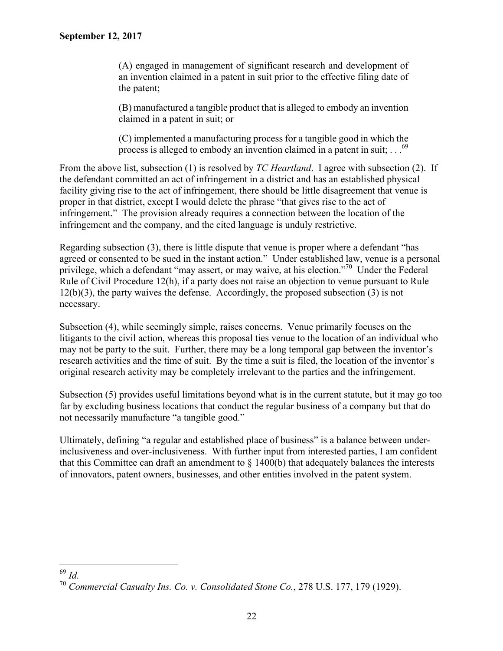(A) engaged in management of significant research and development of an invention claimed in a patent in suit prior to the effective filing date of the patent;

(B) manufactured a tangible product that is alleged to embody an invention claimed in a patent in suit; or

(C) implemented a manufacturing process for a tangible good in which the process is alleged to embody an invention claimed in a patent in suit;  $\ldots$ <sup>69</sup>

From the above list, subsection (1) is resolved by *TC Heartland*. I agree with subsection (2). If the defendant committed an act of infringement in a district and has an established physical facility giving rise to the act of infringement, there should be little disagreement that venue is proper in that district, except I would delete the phrase "that gives rise to the act of infringement." The provision already requires a connection between the location of the infringement and the company, and the cited language is unduly restrictive.

Regarding subsection (3), there is little dispute that venue is proper where a defendant "has agreed or consented to be sued in the instant action." Under established law, venue is a personal privilege, which a defendant "may assert, or may waive, at his election."<sup>70</sup> Under the Federal Rule of Civil Procedure 12(h), if a party does not raise an objection to venue pursuant to Rule 12(b)(3), the party waives the defense. Accordingly, the proposed subsection (3) is not necessary.

Subsection (4), while seemingly simple, raises concerns. Venue primarily focuses on the litigants to the civil action, whereas this proposal ties venue to the location of an individual who may not be party to the suit. Further, there may be a long temporal gap between the inventor's research activities and the time of suit. By the time a suit is filed, the location of the inventor's original research activity may be completely irrelevant to the parties and the infringement.

Subsection (5) provides useful limitations beyond what is in the current statute, but it may go too far by excluding business locations that conduct the regular business of a company but that do not necessarily manufacture "a tangible good."

Ultimately, defining "a regular and established place of business" is a balance between underinclusiveness and over-inclusiveness. With further input from interested parties, I am confident that this Committee can draft an amendment to  $\S$  1400(b) that adequately balances the interests of innovators, patent owners, businesses, and other entities involved in the patent system.

 $\overline{a}$ <sup>69</sup> *Id.*

<sup>70</sup> *Commercial Casualty Ins. Co. v. Consolidated Stone Co.*, 278 U.S. 177, 179 (1929).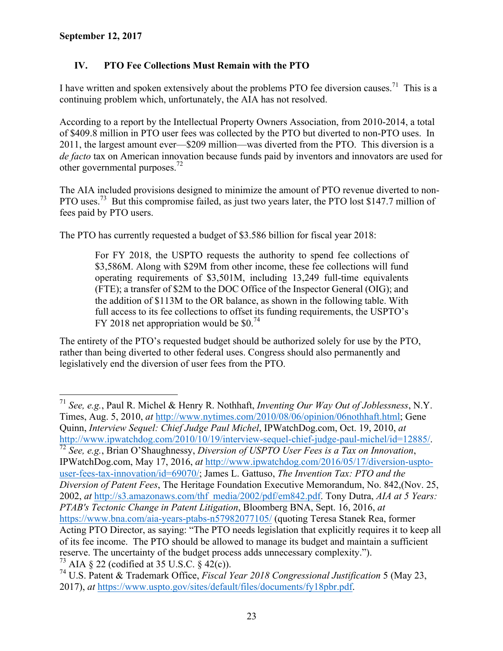$\overline{a}$ 

# **IV. PTO Fee Collections Must Remain with the PTO**

I have written and spoken extensively about the problems PTO fee diversion causes.<sup>71</sup> This is a continuing problem which, unfortunately, the AIA has not resolved.

According to a report by the Intellectual Property Owners Association, from 2010-2014, a total of \$409.8 million in PTO user fees was collected by the PTO but diverted to non-PTO uses. In 2011, the largest amount ever—\$209 million—was diverted from the PTO. This diversion is a *de facto* tax on American innovation because funds paid by inventors and innovators are used for other governmental purposes.<sup>72</sup>

The AIA included provisions designed to minimize the amount of PTO revenue diverted to non-PTO uses.<sup>73</sup> But this compromise failed, as just two years later, the PTO lost \$147.7 million of fees paid by PTO users.

The PTO has currently requested a budget of \$3.586 billion for fiscal year 2018:

For FY 2018, the USPTO requests the authority to spend fee collections of \$3,586M. Along with \$29M from other income, these fee collections will fund operating requirements of \$3,501M, including 13,249 full-time equivalents (FTE); a transfer of \$2M to the DOC Office of the Inspector General (OIG); and the addition of \$113M to the OR balance, as shown in the following table. With full access to its fee collections to offset its funding requirements, the USPTO's FY 2018 net appropriation would be \$0.74

The entirety of the PTO's requested budget should be authorized solely for use by the PTO, rather than being diverted to other federal uses. Congress should also permanently and legislatively end the diversion of user fees from the PTO.

<sup>71</sup> *See, e.g.*, Paul R. Michel & Henry R. Nothhaft, *Inventing Our Way Out of Joblessness*, N.Y. Times, Aug. 5, 2010, *at* http://www.nytimes.com/2010/08/06/opinion/06nothhaft.html; Gene Quinn, *Interview Sequel: Chief Judge Paul Michel*, IPWatchDog.com, Oct. 19, 2010, *at* http://www.ipwatchdog.com/2010/10/19/interview-sequel-chief-judge-paul-michel/id=12885/. 72 *See, e.g.*, Brian O'Shaughnessy, *Diversion of USPTO User Fees is a Tax on Innovation*, IPWatchDog.com, May 17, 2016, *at* http://www.ipwatchdog.com/2016/05/17/diversion-usptouser-fees-tax-innovation/id=69070/; James L. Gattuso, *The Invention Tax: PTO and the Diversion of Patent Fees*, The Heritage Foundation Executive Memorandum, No. 842,(Nov. 25, 2002, *at* http://s3.amazonaws.com/thf media/2002/pdf/em842.pdf. Tony Dutra, *AIA at 5 Years: PTAB's Tectonic Change in Patent Litigation*, Bloomberg BNA, Sept. 16, 2016, *at* https://www.bna.com/aia-years-ptabs-n57982077105/ (quoting Teresa Stanek Rea, former Acting PTO Director, as saying: "The PTO needs legislation that explicitly requires it to keep all of its fee income. The PTO should be allowed to manage its budget and maintain a sufficient reserve. The uncertainty of the budget process adds unnecessary complexity."). <sup>73</sup> AIA  $\S 22$  (codified at 35 U.S.C.  $\S 42(c)$ ).

<sup>74</sup> U.S. Patent & Trademark Office, *Fiscal Year 2018 Congressional Justification* 5 (May 23, 2017), *at* https://www.uspto.gov/sites/default/files/documents/fy18pbr.pdf.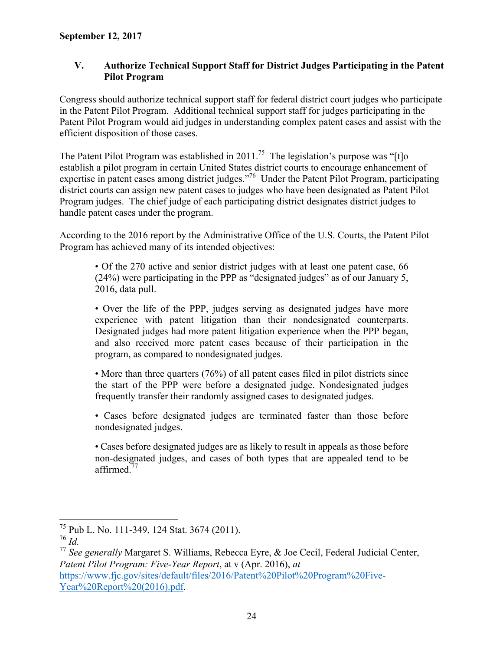## **V. Authorize Technical Support Staff for District Judges Participating in the Patent Pilot Program**

Congress should authorize technical support staff for federal district court judges who participate in the Patent Pilot Program. Additional technical support staff for judges participating in the Patent Pilot Program would aid judges in understanding complex patent cases and assist with the efficient disposition of those cases.

The Patent Pilot Program was established in 2011.<sup>75</sup> The legislation's purpose was "[t]o establish a pilot program in certain United States district courts to encourage enhancement of expertise in patent cases among district judges."76 Under the Patent Pilot Program, participating district courts can assign new patent cases to judges who have been designated as Patent Pilot Program judges. The chief judge of each participating district designates district judges to handle patent cases under the program.

According to the 2016 report by the Administrative Office of the U.S. Courts, the Patent Pilot Program has achieved many of its intended objectives:

• Of the 270 active and senior district judges with at least one patent case, 66 (24%) were participating in the PPP as "designated judges" as of our January 5, 2016, data pull.

• Over the life of the PPP, judges serving as designated judges have more experience with patent litigation than their nondesignated counterparts. Designated judges had more patent litigation experience when the PPP began, and also received more patent cases because of their participation in the program, as compared to nondesignated judges.

• More than three quarters (76%) of all patent cases filed in pilot districts since the start of the PPP were before a designated judge. Nondesignated judges frequently transfer their randomly assigned cases to designated judges.

• Cases before designated judges are terminated faster than those before nondesignated judges.

• Cases before designated judges are as likely to result in appeals as those before non-designated judges, and cases of both types that are appealed tend to be affirmed.<sup>77</sup>

 $\overline{a}$ 75 Pub L. No. 111-349, 124 Stat. 3674 (2011).

<sup>76</sup> *Id.*

<sup>77</sup> *See generally* Margaret S. Williams, Rebecca Eyre, & Joe Cecil, Federal Judicial Center, *Patent Pilot Program: Five-Year Report*, at v (Apr. 2016), *at* https://www.fjc.gov/sites/default/files/2016/Patent%20Pilot%20Program%20Five-Year%20Report%20(2016).pdf.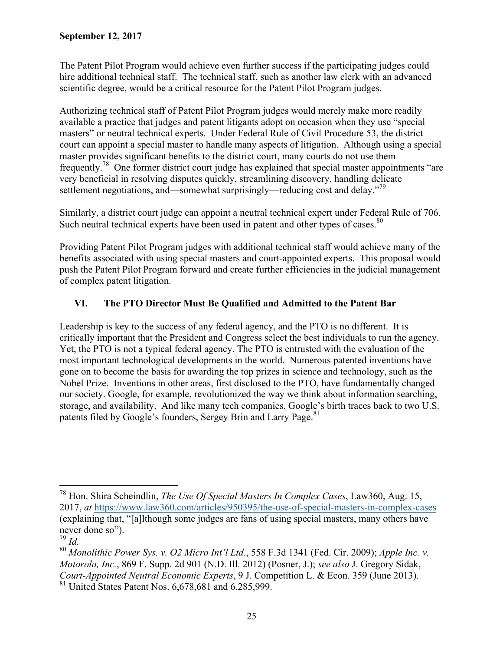The Patent Pilot Program would achieve even further success if the participating judges could hire additional technical staff. The technical staff, such as another law clerk with an advanced scientific degree, would be a critical resource for the Patent Pilot Program judges.

Authorizing technical staff of Patent Pilot Program judges would merely make more readily available a practice that judges and patent litigants adopt on occasion when they use "special masters" or neutral technical experts. Under Federal Rule of Civil Procedure 53, the district court can appoint a special master to handle many aspects of litigation. Although using a special master provides significant benefits to the district court, many courts do not use them frequently.78 One former district court judge has explained that special master appointments "are very beneficial in resolving disputes quickly, streamlining discovery, handling delicate settlement negotiations, and—somewhat surprisingly—reducing cost and delay."<sup>79</sup>

Similarly, a district court judge can appoint a neutral technical expert under Federal Rule of 706. Such neutral technical experts have been used in patent and other types of cases.<sup>80</sup>

Providing Patent Pilot Program judges with additional technical staff would achieve many of the benefits associated with using special masters and court-appointed experts. This proposal would push the Patent Pilot Program forward and create further efficiencies in the judicial management of complex patent litigation.

# **VI. The PTO Director Must Be Qualified and Admitted to the Patent Bar**

Leadership is key to the success of any federal agency, and the PTO is no different. It is critically important that the President and Congress select the best individuals to run the agency. Yet, the PTO is not a typical federal agency. The PTO is entrusted with the evaluation of the most important technological developments in the world. Numerous patented inventions have gone on to become the basis for awarding the top prizes in science and technology, such as the Nobel Prize. Inventions in other areas, first disclosed to the PTO, have fundamentally changed our society. Google, for example, revolutionized the way we think about information searching, storage, and availability. And like many tech companies, Google's birth traces back to two U.S. patents filed by Google's founders, Sergey Brin and Larry Page.<sup>81</sup>

<sup>78</sup> Hon. Shira Scheindlin, *The Use Of Special Masters In Complex Cases*, Law360, Aug. 15, 2017, *at* https://www.law360.com/articles/950395/the-use-of-special-masters-in-complex-cases (explaining that, "[a]lthough some judges are fans of using special masters, many others have never done so").

<sup>79</sup> *Id.*

<sup>80</sup> *Monolithic Power Sys. v. O2 Micro Int'l Ltd.*, 558 F.3d 1341 (Fed. Cir. 2009); *Apple Inc. v. Motorola, Inc.*, 869 F. Supp. 2d 901 (N.D. Ill. 2012) (Posner, J.); *see also* J. Gregory Sidak, *Court-Appointed Neutral Economic Experts*, 9 J. Competition L. & Econ. 359 (June 2013).

 $81$  United States Patent Nos. 6,678,681 and 6,285,999.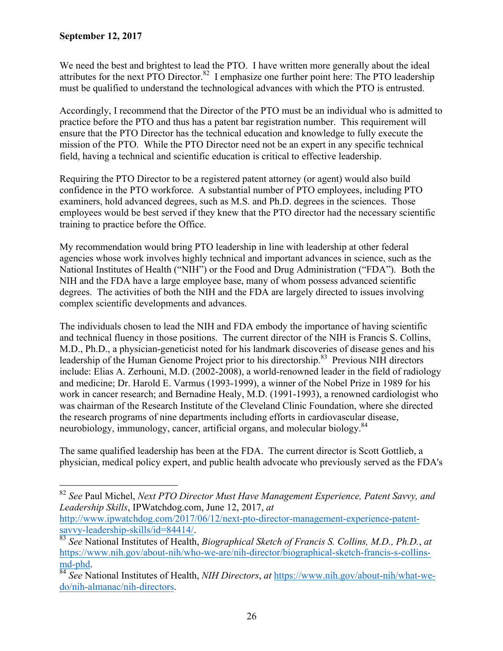$\overline{a}$ 

We need the best and brightest to lead the PTO. I have written more generally about the ideal attributes for the next PTO Director.<sup>82</sup> I emphasize one further point here: The PTO leadership must be qualified to understand the technological advances with which the PTO is entrusted.

Accordingly, I recommend that the Director of the PTO must be an individual who is admitted to practice before the PTO and thus has a patent bar registration number. This requirement will ensure that the PTO Director has the technical education and knowledge to fully execute the mission of the PTO. While the PTO Director need not be an expert in any specific technical field, having a technical and scientific education is critical to effective leadership.

Requiring the PTO Director to be a registered patent attorney (or agent) would also build confidence in the PTO workforce. A substantial number of PTO employees, including PTO examiners, hold advanced degrees, such as M.S. and Ph.D. degrees in the sciences. Those employees would be best served if they knew that the PTO director had the necessary scientific training to practice before the Office.

My recommendation would bring PTO leadership in line with leadership at other federal agencies whose work involves highly technical and important advances in science, such as the National Institutes of Health ("NIH") or the Food and Drug Administration ("FDA"). Both the NIH and the FDA have a large employee base, many of whom possess advanced scientific degrees. The activities of both the NIH and the FDA are largely directed to issues involving complex scientific developments and advances.

The individuals chosen to lead the NIH and FDA embody the importance of having scientific and technical fluency in those positions. The current director of the NIH is Francis S. Collins, M.D., Ph.D., a physician-geneticist noted for his landmark discoveries of disease genes and his leadership of the Human Genome Project prior to his directorship.<sup>83</sup> Previous NIH directors include: Elias A. Zerhouni, M.D. (2002-2008), a world-renowned leader in the field of radiology and medicine; Dr. Harold E. Varmus (1993-1999), a winner of the Nobel Prize in 1989 for his work in cancer research; and Bernadine Healy, M.D. (1991-1993), a renowned cardiologist who was chairman of the Research Institute of the Cleveland Clinic Foundation, where she directed the research programs of nine departments including efforts in cardiovascular disease, neurobiology, immunology, cancer, artificial organs, and molecular biology.<sup>84</sup>

The same qualified leadership has been at the FDA. The current director is Scott Gottlieb, a physician, medical policy expert, and public health advocate who previously served as the FDA's

<sup>82</sup> *See* Paul Michel, *Next PTO Director Must Have Management Experience, Patent Savvy, and Leadership Skills*, IPWatchdog.com, June 12, 2017, *at*

http://www.ipwatchdog.com/2017/06/12/next-pto-director-management-experience-patent-

savvy-leadership-skills/id=84414/. 83 *See* National Institutes of Health, *Biographical Sketch of Francis S. Collins, M.D., Ph.D.*, *at* https://www.nih.gov/about-nih/who-we-are/nih-director/biographical-sketch-francis-s-collinsmd-phd. 84 *See* National Institutes of Health, *NIH Directors*, *at* https://www.nih.gov/about-nih/what-we-

do/nih-almanac/nih-directors.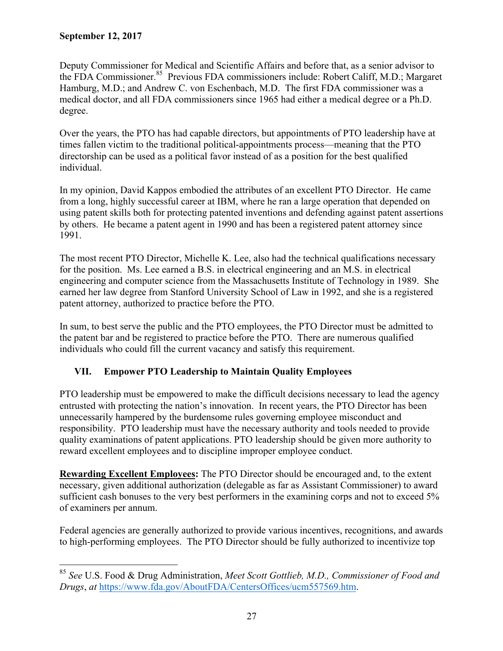$\overline{a}$ 

Deputy Commissioner for Medical and Scientific Affairs and before that, as a senior advisor to the FDA Commissioner.<sup>85</sup> Previous FDA commissioners include: Robert Califf, M.D.; Margaret Hamburg, M.D.; and Andrew C. von Eschenbach, M.D. The first FDA commissioner was a medical doctor, and all FDA commissioners since 1965 had either a medical degree or a Ph.D. degree.

Over the years, the PTO has had capable directors, but appointments of PTO leadership have at times fallen victim to the traditional political-appointments process—meaning that the PTO directorship can be used as a political favor instead of as a position for the best qualified individual.

In my opinion, David Kappos embodied the attributes of an excellent PTO Director. He came from a long, highly successful career at IBM, where he ran a large operation that depended on using patent skills both for protecting patented inventions and defending against patent assertions by others. He became a patent agent in 1990 and has been a registered patent attorney since 1991.

The most recent PTO Director, Michelle K. Lee, also had the technical qualifications necessary for the position. Ms. Lee earned a B.S. in electrical engineering and an M.S. in electrical engineering and computer science from the Massachusetts Institute of Technology in 1989. She earned her law degree from Stanford University School of Law in 1992, and she is a registered patent attorney, authorized to practice before the PTO.

In sum, to best serve the public and the PTO employees, the PTO Director must be admitted to the patent bar and be registered to practice before the PTO. There are numerous qualified individuals who could fill the current vacancy and satisfy this requirement.

# **VII. Empower PTO Leadership to Maintain Quality Employees**

PTO leadership must be empowered to make the difficult decisions necessary to lead the agency entrusted with protecting the nation's innovation. In recent years, the PTO Director has been unnecessarily hampered by the burdensome rules governing employee misconduct and responsibility. PTO leadership must have the necessary authority and tools needed to provide quality examinations of patent applications. PTO leadership should be given more authority to reward excellent employees and to discipline improper employee conduct.

**Rewarding Excellent Employees:** The PTO Director should be encouraged and, to the extent necessary, given additional authorization (delegable as far as Assistant Commissioner) to award sufficient cash bonuses to the very best performers in the examining corps and not to exceed 5% of examiners per annum.

Federal agencies are generally authorized to provide various incentives, recognitions, and awards to high-performing employees. The PTO Director should be fully authorized to incentivize top

<sup>85</sup> *See* U.S. Food & Drug Administration, *Meet Scott Gottlieb, M.D., Commissioner of Food and Drugs*, *at* https://www.fda.gov/AboutFDA/CentersOffices/ucm557569.htm.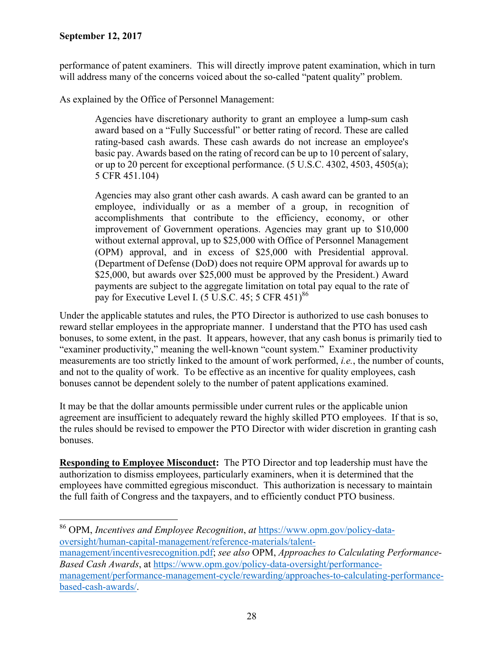$\overline{a}$ 

performance of patent examiners. This will directly improve patent examination, which in turn will address many of the concerns voiced about the so-called "patent quality" problem.

As explained by the Office of Personnel Management:

Agencies have discretionary authority to grant an employee a lump-sum cash award based on a "Fully Successful" or better rating of record. These are called rating-based cash awards. These cash awards do not increase an employee's basic pay. Awards based on the rating of record can be up to 10 percent of salary, or up to 20 percent for exceptional performance. (5 U.S.C. 4302, 4503, 4505(a); 5 CFR 451.104)

Agencies may also grant other cash awards. A cash award can be granted to an employee, individually or as a member of a group, in recognition of accomplishments that contribute to the efficiency, economy, or other improvement of Government operations. Agencies may grant up to \$10,000 without external approval, up to \$25,000 with Office of Personnel Management (OPM) approval, and in excess of \$25,000 with Presidential approval. (Department of Defense (DoD) does not require OPM approval for awards up to \$25,000, but awards over \$25,000 must be approved by the President.) Award payments are subject to the aggregate limitation on total pay equal to the rate of pay for Executive Level I. (5 U.S.C. 45; 5 CFR 451) $^{86}$ 

Under the applicable statutes and rules, the PTO Director is authorized to use cash bonuses to reward stellar employees in the appropriate manner. I understand that the PTO has used cash bonuses, to some extent, in the past. It appears, however, that any cash bonus is primarily tied to "examiner productivity," meaning the well-known "count system." Examiner productivity measurements are too strictly linked to the amount of work performed, *i.e.*, the number of counts, and not to the quality of work. To be effective as an incentive for quality employees, cash bonuses cannot be dependent solely to the number of patent applications examined.

It may be that the dollar amounts permissible under current rules or the applicable union agreement are insufficient to adequately reward the highly skilled PTO employees. If that is so, the rules should be revised to empower the PTO Director with wider discretion in granting cash bonuses.

**Responding to Employee Misconduct:** The PTO Director and top leadership must have the authorization to dismiss employees, particularly examiners, when it is determined that the employees have committed egregious misconduct. This authorization is necessary to maintain the full faith of Congress and the taxpayers, and to efficiently conduct PTO business.

<sup>86</sup> OPM, *Incentives and Employee Recognition*, *at* https://www.opm.gov/policy-dataoversight/human-capital-management/reference-materials/talent-

management/incentivesrecognition.pdf; *see also* OPM, *Approaches to Calculating Performance-Based Cash Awards*, at https://www.opm.gov/policy-data-oversight/performancemanagement/performance-management-cycle/rewarding/approaches-to-calculating-performancebased-cash-awards/.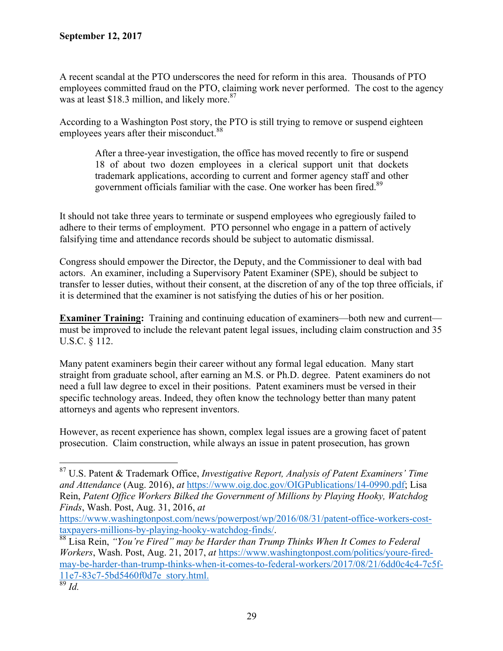A recent scandal at the PTO underscores the need for reform in this area. Thousands of PTO employees committed fraud on the PTO, claiming work never performed. The cost to the agency was at least \$18.3 million, and likely more. $87$ 

According to a Washington Post story, the PTO is still trying to remove or suspend eighteen employees years after their misconduct.<sup>88</sup>

After a three-year investigation, the office has moved recently to fire or suspend 18 of about two dozen employees in a clerical support unit that dockets trademark applications, according to current and former agency staff and other government officials familiar with the case. One worker has been fired.<sup>89</sup>

It should not take three years to terminate or suspend employees who egregiously failed to adhere to their terms of employment. PTO personnel who engage in a pattern of actively falsifying time and attendance records should be subject to automatic dismissal.

Congress should empower the Director, the Deputy, and the Commissioner to deal with bad actors. An examiner, including a Supervisory Patent Examiner (SPE), should be subject to transfer to lesser duties, without their consent, at the discretion of any of the top three officials, if it is determined that the examiner is not satisfying the duties of his or her position.

**Examiner Training:** Training and continuing education of examiners—both new and current must be improved to include the relevant patent legal issues, including claim construction and 35 U.S.C. § 112.

Many patent examiners begin their career without any formal legal education. Many start straight from graduate school, after earning an M.S. or Ph.D. degree. Patent examiners do not need a full law degree to excel in their positions. Patent examiners must be versed in their specific technology areas. Indeed, they often know the technology better than many patent attorneys and agents who represent inventors.

However, as recent experience has shown, complex legal issues are a growing facet of patent prosecution. Claim construction, while always an issue in patent prosecution, has grown

<sup>87</sup> U.S. Patent & Trademark Office, *Investigative Report, Analysis of Patent Examiners' Time and Attendance* (Aug. 2016), *at* https://www.oig.doc.gov/OIGPublications/14-0990.pdf; Lisa Rein, *Patent Office Workers Bilked the Government of Millions by Playing Hooky, Watchdog Finds*, Wash. Post, Aug. 31, 2016, *at*

https://www.washingtonpost.com/news/powerpost/wp/2016/08/31/patent-office-workers-cost-

taxpayers-millions-by-playing-hooky-watchdog-finds/. 88 Lisa Rein, *"You're Fired" may be Harder than Trump Thinks When It Comes to Federal Workers*, Wash. Post, Aug. 21, 2017, *at* https://www.washingtonpost.com/politics/youre-firedmay-be-harder-than-trump-thinks-when-it-comes-to-federal-workers/2017/08/21/6dd0c4c4-7c5f-11e7-83c7-5bd5460f0d7e story.html. 89 *Id.*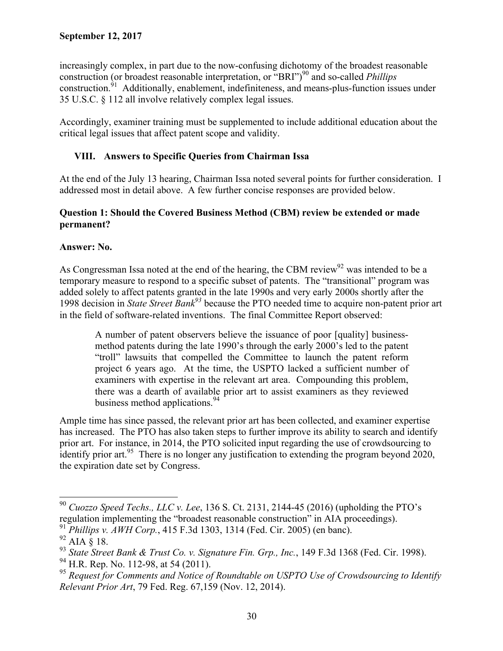increasingly complex, in part due to the now-confusing dichotomy of the broadest reasonable construction (or broadest reasonable interpretation, or "BRI")<sup>90</sup> and so-called *Phillips* construction.91 Additionally, enablement, indefiniteness, and means-plus-function issues under 35 U.S.C. § 112 all involve relatively complex legal issues.

Accordingly, examiner training must be supplemented to include additional education about the critical legal issues that affect patent scope and validity.

# **VIII. Answers to Specific Queries from Chairman Issa**

At the end of the July 13 hearing, Chairman Issa noted several points for further consideration. I addressed most in detail above. A few further concise responses are provided below.

## **Question 1: Should the Covered Business Method (CBM) review be extended or made permanent?**

## **Answer: No.**

As Congressman Issa noted at the end of the hearing, the CBM review<sup>92</sup> was intended to be a temporary measure to respond to a specific subset of patents. The "transitional" program was added solely to affect patents granted in the late 1990s and very early 2000s shortly after the 1998 decision in *State Street Bank93* because the PTO needed time to acquire non-patent prior art in the field of software-related inventions. The final Committee Report observed:

A number of patent observers believe the issuance of poor [quality] businessmethod patents during the late 1990's through the early 2000's led to the patent "troll" lawsuits that compelled the Committee to launch the patent reform project 6 years ago. At the time, the USPTO lacked a sufficient number of examiners with expertise in the relevant art area. Compounding this problem, there was a dearth of available prior art to assist examiners as they reviewed business method applications.<sup>94</sup>

Ample time has since passed, the relevant prior art has been collected, and examiner expertise has increased. The PTO has also taken steps to further improve its ability to search and identify prior art. For instance, in 2014, the PTO solicited input regarding the use of crowdsourcing to identify prior art.<sup>95</sup> There is no longer any justification to extending the program beyond  $2020$ , the expiration date set by Congress.

 $\overline{a}$ <sup>90</sup> *Cuozzo Speed Techs., LLC v. Lee*, 136 S. Ct. 2131, 2144-45 (2016) (upholding the PTO's regulation implementing the "broadest reasonable construction" in AIA proceedings).

<sup>91</sup> *Phillips v. AWH Corp.*, 415 F.3d 1303, 1314 (Fed. Cir. 2005) (en banc).

 $92$  AIA  $\hat{\S}$  18.

<sup>93</sup> *State Street Bank & Trust Co. v. Signature Fin. Grp., Inc.*, 149 F.3d 1368 (Fed. Cir. 1998).

<sup>&</sup>lt;sup>94</sup> H.R. Rep. No. 112-98, at 54 (2011).

<sup>95</sup> *Request for Comments and Notice of Roundtable on USPTO Use of Crowdsourcing to Identify Relevant Prior Art*, 79 Fed. Reg. 67,159 (Nov. 12, 2014).